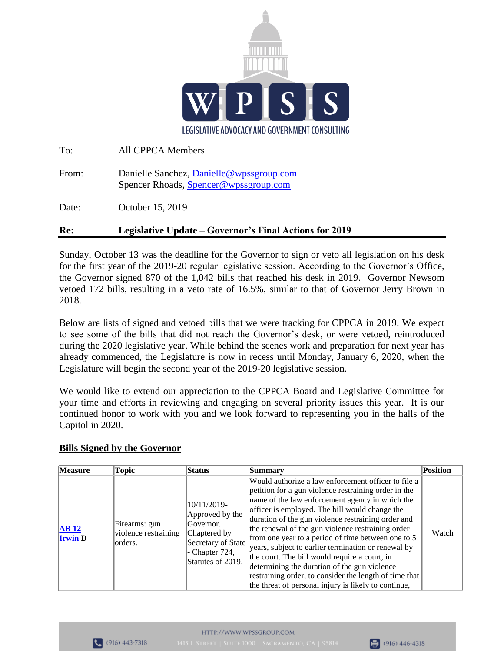

| Re:   | Legislative Update – Governor's Final Actions for 2019                             |
|-------|------------------------------------------------------------------------------------|
| Date: | October 15, 2019                                                                   |
| From: | Danielle Sanchez, Danielle @wpssgroup.com<br>Spencer Rhoads, Spencer@wpssgroup.com |
| To:   | All CPPCA Members                                                                  |

Sunday, October 13 was the deadline for the Governor to sign or veto all legislation on his desk for the first year of the 2019-20 regular legislative session. According to the Governor's Office, the Governor signed 870 of the 1,042 bills that reached his desk in 2019. Governor Newsom vetoed 172 bills, resulting in a veto rate of 16.5%, similar to that of Governor Jerry Brown in 2018.

Below are lists of signed and vetoed bills that we were tracking for CPPCA in 2019. We expect to see some of the bills that did not reach the Governor's desk, or were vetoed, reintroduced during the 2020 legislative year. While behind the scenes work and preparation for next year has already commenced, the Legislature is now in recess until Monday, January 6, 2020, when the Legislature will begin the second year of the 2019-20 legislative session.

We would like to extend our appreciation to the CPPCA Board and Legislative Committee for your time and efforts in reviewing and engaging on several priority issues this year. It is our continued honor to work with you and we look forward to representing you in the halls of the Capitol in 2020.

## **Bills Signed by the Governor**

| <b>Measure</b>         | Topic                                             | <b>Status</b>                                                                                                               | Summary                                                                                                                                                                                                                                                                                                                                                                                                                                                                                                                                                                                                                                                     | Position |
|------------------------|---------------------------------------------------|-----------------------------------------------------------------------------------------------------------------------------|-------------------------------------------------------------------------------------------------------------------------------------------------------------------------------------------------------------------------------------------------------------------------------------------------------------------------------------------------------------------------------------------------------------------------------------------------------------------------------------------------------------------------------------------------------------------------------------------------------------------------------------------------------------|----------|
| AB12<br><b>Irwin D</b> | Firearms: gun<br>violence restraining<br>lorders. | 10/11/2019-<br>Approved by the<br>Governor.<br>Chaptered by<br>Secretary of State<br>- Chapter $724$ ,<br>Statutes of 2019. | Would authorize a law enforcement officer to file a<br>petition for a gun violence restraining order in the<br>name of the law enforcement agency in which the<br>officer is employed. The bill would change the<br>duration of the gun violence restraining order and<br>the renewal of the gun violence restraining order<br>from one year to a period of time between one to 5<br>years, subject to earlier termination or renewal by<br>the court. The bill would require a court, in<br>determining the duration of the gun violence<br>restraining order, to consider the length of time that<br>the threat of personal injury is likely to continue, | Watch    |

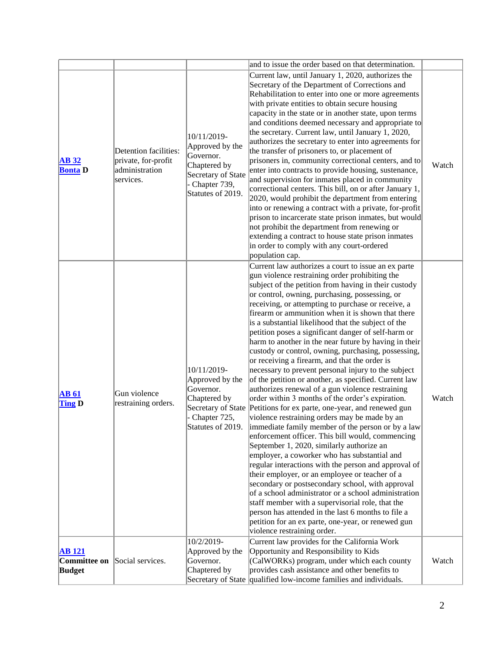|                                                                        |                                                                             |                                                                                                                        | and to issue the order based on that determination.                                                                                                                                                                                                                                                                                                                                                                                                                                                                                                                                                                                                                                                                                                                                                                                                                                                                                                                                                                                                                                                                                                                                                                                                                                                                                                                                                                                                                                                                                                                                   |       |
|------------------------------------------------------------------------|-----------------------------------------------------------------------------|------------------------------------------------------------------------------------------------------------------------|---------------------------------------------------------------------------------------------------------------------------------------------------------------------------------------------------------------------------------------------------------------------------------------------------------------------------------------------------------------------------------------------------------------------------------------------------------------------------------------------------------------------------------------------------------------------------------------------------------------------------------------------------------------------------------------------------------------------------------------------------------------------------------------------------------------------------------------------------------------------------------------------------------------------------------------------------------------------------------------------------------------------------------------------------------------------------------------------------------------------------------------------------------------------------------------------------------------------------------------------------------------------------------------------------------------------------------------------------------------------------------------------------------------------------------------------------------------------------------------------------------------------------------------------------------------------------------------|-------|
| <b>AB</b> 32<br><b>Bonta D</b>                                         | Detention facilities:<br>private, for-profit<br>administration<br>services. | 10/11/2019-<br>Approved by the<br>Governor.<br>Chaptered by<br>Secretary of State<br>Chapter 739,<br>Statutes of 2019. | Current law, until January 1, 2020, authorizes the<br>Secretary of the Department of Corrections and<br>Rehabilitation to enter into one or more agreements<br>with private entities to obtain secure housing<br>capacity in the state or in another state, upon terms<br>and conditions deemed necessary and appropriate to<br>the secretary. Current law, until January 1, 2020,<br>authorizes the secretary to enter into agreements for<br>the transfer of prisoners to, or placement of<br>prisoners in, community correctional centers, and to<br>enter into contracts to provide housing, sustenance,<br>and supervision for inmates placed in community<br>correctional centers. This bill, on or after January 1,<br>2020, would prohibit the department from entering<br>into or renewing a contract with a private, for-profit<br>prison to incarcerate state prison inmates, but would<br>not prohibit the department from renewing or<br>extending a contract to house state prison inmates<br>in order to comply with any court-ordered<br>population cap.                                                                                                                                                                                                                                                                                                                                                                                                                                                                                                              | Watch |
| <b>AB 61</b><br><b>Ting D</b>                                          | Gun violence<br>restraining orders.                                         | 10/11/2019-<br>Approved by the<br>Governor.<br>Chaptered by<br>Chapter 725,<br>Statutes of 2019.                       | Current law authorizes a court to issue an ex parte<br>gun violence restraining order prohibiting the<br>subject of the petition from having in their custody<br>or control, owning, purchasing, possessing, or<br>receiving, or attempting to purchase or receive, a<br>firearm or ammunition when it is shown that there<br>is a substantial likelihood that the subject of the<br>petition poses a significant danger of self-harm or<br>harm to another in the near future by having in their<br>custody or control, owning, purchasing, possessing,<br>or receiving a firearm, and that the order is<br>necessary to prevent personal injury to the subject<br>of the petition or another, as specified. Current law<br>authorizes renewal of a gun violence restraining<br>order within 3 months of the order's expiration.<br>Secretary of State Petitions for ex parte, one-year, and renewed gun<br>violence restraining orders may be made by an<br>immediate family member of the person or by a law<br>enforcement officer. This bill would, commencing<br>September 1, 2020, similarly authorize an<br>employer, a coworker who has substantial and<br>regular interactions with the person and approval of<br>their employer, or an employee or teacher of a<br>secondary or postsecondary school, with approval<br>of a school administrator or a school administration<br>staff member with a supervisorial role, that the<br>person has attended in the last 6 months to file a<br>petition for an ex parte, one-year, or renewed gun<br>violence restraining order. | Watch |
| <b>AB 121</b><br><b>Committee on</b> Social services.<br><b>Budget</b> |                                                                             | 10/2/2019-<br>Approved by the<br>Governor.<br>Chaptered by                                                             | Current law provides for the California Work<br>Opportunity and Responsibility to Kids<br>(CalWORKs) program, under which each county<br>provides cash assistance and other benefits to<br>Secretary of State qualified low-income families and individuals.                                                                                                                                                                                                                                                                                                                                                                                                                                                                                                                                                                                                                                                                                                                                                                                                                                                                                                                                                                                                                                                                                                                                                                                                                                                                                                                          | Watch |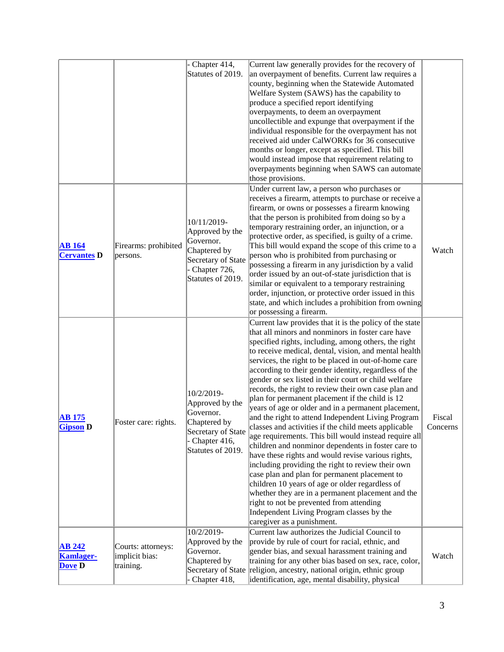|                                             |                                                   | Chapter 414,<br>Statutes of 2019.                                                                                      | Current law generally provides for the recovery of<br>an overpayment of benefits. Current law requires a<br>county, beginning when the Statewide Automated<br>Welfare System (SAWS) has the capability to<br>produce a specified report identifying<br>overpayments, to deem an overpayment<br>uncollectible and expunge that overpayment if the<br>individual responsible for the overpayment has not<br>received aid under CalWORKs for 36 consecutive<br>months or longer, except as specified. This bill<br>would instead impose that requirement relating to<br>overpayments beginning when SAWS can automate<br>those provisions.                                                                                                                                                                                                                                                                                                                                                                                                                                                                                                                                                          |                    |
|---------------------------------------------|---------------------------------------------------|------------------------------------------------------------------------------------------------------------------------|--------------------------------------------------------------------------------------------------------------------------------------------------------------------------------------------------------------------------------------------------------------------------------------------------------------------------------------------------------------------------------------------------------------------------------------------------------------------------------------------------------------------------------------------------------------------------------------------------------------------------------------------------------------------------------------------------------------------------------------------------------------------------------------------------------------------------------------------------------------------------------------------------------------------------------------------------------------------------------------------------------------------------------------------------------------------------------------------------------------------------------------------------------------------------------------------------|--------------------|
| <b>AB</b> 164<br><b>Cervantes D</b>         | Firearms: prohibited<br>persons.                  | 10/11/2019-<br>Approved by the<br>Governor.<br>Chaptered by<br>Secretary of State<br>Chapter 726,<br>Statutes of 2019. | Under current law, a person who purchases or<br>receives a firearm, attempts to purchase or receive a<br>firearm, or owns or possesses a firearm knowing<br>that the person is prohibited from doing so by a<br>temporary restraining order, an injunction, or a<br>protective order, as specified, is guilty of a crime.<br>This bill would expand the scope of this crime to a<br>person who is prohibited from purchasing or<br>possessing a firearm in any jurisdiction by a valid<br>order issued by an out-of-state jurisdiction that is<br>similar or equivalent to a temporary restraining<br>order, injunction, or protective order issued in this<br>state, and which includes a prohibition from owning<br>or possessing a firearm.                                                                                                                                                                                                                                                                                                                                                                                                                                                   | Watch              |
| <b>AB 175</b><br><b>Gipson</b> D            | Foster care: rights.                              | 10/2/2019-<br>Approved by the<br>Governor.<br>Chaptered by<br>Secretary of State<br>Chapter 416,<br>Statutes of 2019.  | Current law provides that it is the policy of the state<br>that all minors and nonminors in foster care have<br>specified rights, including, among others, the right<br>to receive medical, dental, vision, and mental health<br>services, the right to be placed in out-of-home care<br>according to their gender identity, regardless of the<br>gender or sex listed in their court or child welfare<br>records, the right to review their own case plan and<br>plan for permanent placement if the child is 12<br>years of age or older and in a permanent placement,<br>and the right to attend Independent Living Program<br>classes and activities if the child meets applicable<br>age requirements. This bill would instead require all<br>children and nonminor dependents in foster care to<br>have these rights and would revise various rights,<br>including providing the right to review their own<br>case plan and plan for permanent placement to<br>children 10 years of age or older regardless of<br>whether they are in a permanent placement and the<br>right to not be prevented from attending<br>Independent Living Program classes by the<br>caregiver as a punishment. | Fiscal<br>Concerns |
| <b>AB 242</b><br><b>Kamlager-</b><br>Dove D | Courts: attorneys:<br>implicit bias:<br>training. | 10/2/2019-<br>Approved by the<br>Governor.<br>Chaptered by<br>Chapter 418,                                             | Current law authorizes the Judicial Council to<br>provide by rule of court for racial, ethnic, and<br>gender bias, and sexual harassment training and<br>training for any other bias based on sex, race, color,<br>Secretary of State religion, ancestry, national origin, ethnic group<br>identification, age, mental disability, physical                                                                                                                                                                                                                                                                                                                                                                                                                                                                                                                                                                                                                                                                                                                                                                                                                                                      | Watch              |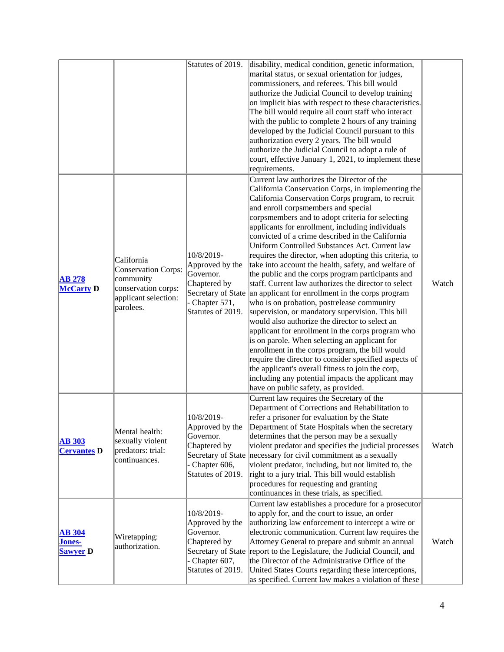|                                            |                                                                                                            | Statutes of 2019.                                                                                                     | disability, medical condition, genetic information,<br>marital status, or sexual orientation for judges,<br>commissioners, and referees. This bill would<br>authorize the Judicial Council to develop training<br>on implicit bias with respect to these characteristics.<br>The bill would require all court staff who interact<br>with the public to complete 2 hours of any training<br>developed by the Judicial Council pursuant to this<br>authorization every 2 years. The bill would                                                                                                                                                                                                                                                                                                                                                                                                                                                                                                                                                                                                                                                                                                                                            |       |
|--------------------------------------------|------------------------------------------------------------------------------------------------------------|-----------------------------------------------------------------------------------------------------------------------|-----------------------------------------------------------------------------------------------------------------------------------------------------------------------------------------------------------------------------------------------------------------------------------------------------------------------------------------------------------------------------------------------------------------------------------------------------------------------------------------------------------------------------------------------------------------------------------------------------------------------------------------------------------------------------------------------------------------------------------------------------------------------------------------------------------------------------------------------------------------------------------------------------------------------------------------------------------------------------------------------------------------------------------------------------------------------------------------------------------------------------------------------------------------------------------------------------------------------------------------|-------|
|                                            |                                                                                                            |                                                                                                                       | authorize the Judicial Council to adopt a rule of<br>court, effective January 1, 2021, to implement these<br>requirements.                                                                                                                                                                                                                                                                                                                                                                                                                                                                                                                                                                                                                                                                                                                                                                                                                                                                                                                                                                                                                                                                                                              |       |
| <b>AB 278</b><br><b>McCarty D</b>          | California<br>Conservation Corps:<br>community<br>conservation corps:<br>applicant selection:<br>parolees. | 10/8/2019-<br>Approved by the<br>Governor.<br>Chaptered by<br>Chapter 571,<br>Statutes of 2019.                       | Current law authorizes the Director of the<br>California Conservation Corps, in implementing the<br>California Conservation Corps program, to recruit<br>and enroll corpsmembers and special<br>corpsmembers and to adopt criteria for selecting<br>applicants for enrollment, including individuals<br>convicted of a crime described in the California<br>Uniform Controlled Substances Act. Current law<br>requires the director, when adopting this criteria, to<br>take into account the health, safety, and welfare of<br>the public and the corps program participants and<br>staff. Current law authorizes the director to select<br>Secretary of State an applicant for enrollment in the corps program<br>who is on probation, postrelease community<br>supervision, or mandatory supervision. This bill<br>would also authorize the director to select an<br>applicant for enrollment in the corps program who<br>is on parole. When selecting an applicant for<br>enrollment in the corps program, the bill would<br>require the director to consider specified aspects of<br>the applicant's overall fitness to join the corp,<br>including any potential impacts the applicant may<br>have on public safety, as provided. | Watch |
| <b>AB 303</b><br><b>Cervantes D</b>        | Mental health:<br>sexually violent<br>predators: trial:<br>continuances.                                   | 10/8/2019-<br>Approved by the<br>Governor.<br>Chaptered by<br>Secretary of State<br>Chapter 606,<br>Statutes of 2019. | Current law requires the Secretary of the<br>Department of Corrections and Rehabilitation to<br>refer a prisoner for evaluation by the State<br>Department of State Hospitals when the secretary<br>determines that the person may be a sexually<br>violent predator and specifies the judicial processes<br>necessary for civil commitment as a sexually<br>violent predator, including, but not limited to, the<br>right to a jury trial. This bill would establish<br>procedures for requesting and granting<br>continuances in these trials, as specified.                                                                                                                                                                                                                                                                                                                                                                                                                                                                                                                                                                                                                                                                          | Watch |
| <b>AB 304</b><br>Jones-<br><b>Sawyer</b> D | Wiretapping:<br>authorization.                                                                             | 10/8/2019-<br>Approved by the<br>Governor.<br>Chaptered by<br>- Chapter 607,<br>Statutes of 2019.                     | Current law establishes a procedure for a prosecutor<br>to apply for, and the court to issue, an order<br>authorizing law enforcement to intercept a wire or<br>electronic communication. Current law requires the<br>Attorney General to prepare and submit an annual<br>Secretary of State report to the Legislature, the Judicial Council, and<br>the Director of the Administrative Office of the<br>United States Courts regarding these interceptions,<br>as specified. Current law makes a violation of these                                                                                                                                                                                                                                                                                                                                                                                                                                                                                                                                                                                                                                                                                                                    | Watch |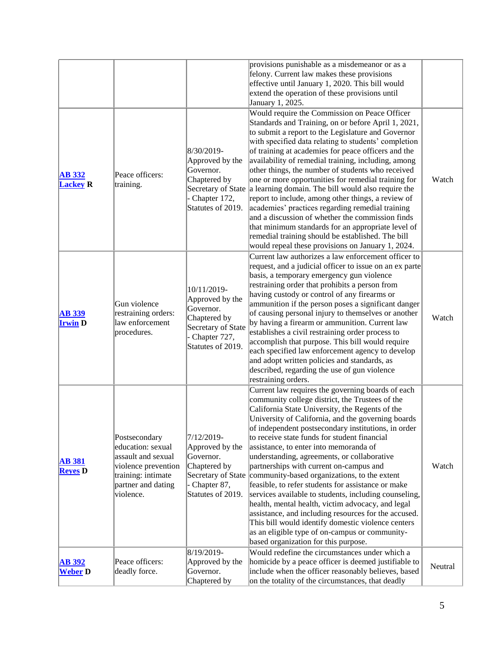|                                  |                                                                                                                                          |                                                                                                                        | provisions punishable as a misdemeanor or as a<br>felony. Current law makes these provisions<br>effective until January 1, 2020. This bill would<br>extend the operation of these provisions until<br>January 1, 2025.                                                                                                                                                                                                                                                                                                                                                                                                                                                                                                                                                                                                                                                               |         |
|----------------------------------|------------------------------------------------------------------------------------------------------------------------------------------|------------------------------------------------------------------------------------------------------------------------|--------------------------------------------------------------------------------------------------------------------------------------------------------------------------------------------------------------------------------------------------------------------------------------------------------------------------------------------------------------------------------------------------------------------------------------------------------------------------------------------------------------------------------------------------------------------------------------------------------------------------------------------------------------------------------------------------------------------------------------------------------------------------------------------------------------------------------------------------------------------------------------|---------|
| <b>AB 332</b><br><b>Lackey R</b> | Peace officers:<br>training.                                                                                                             | 8/30/2019-<br>Approved by the<br>Governor.<br>Chaptered by<br>Chapter 172,<br>Statutes of 2019.                        | Would require the Commission on Peace Officer<br>Standards and Training, on or before April 1, 2021,<br>to submit a report to the Legislature and Governor<br>with specified data relating to students' completion<br>of training at academies for peace officers and the<br>availability of remedial training, including, among<br>other things, the number of students who received<br>one or more opportunities for remedial training for<br>Secretary of State a learning domain. The bill would also require the<br>report to include, among other things, a review of<br>academies' practices regarding remedial training<br>and a discussion of whether the commission finds<br>that minimum standards for an appropriate level of<br>remedial training should be established. The bill<br>would repeal these provisions on January 1, 2024.                                  | Watch   |
| <b>AB 339</b><br><b>Irwin D</b>  | Gun violence<br>restraining orders:<br>law enforcement<br>procedures.                                                                    | 10/11/2019-<br>Approved by the<br>Governor.<br>Chaptered by<br>Secretary of State<br>Chapter 727,<br>Statutes of 2019. | Current law authorizes a law enforcement officer to<br>request, and a judicial officer to issue on an ex parte<br>basis, a temporary emergency gun violence<br>restraining order that prohibits a person from<br>having custody or control of any firearms or<br>ammunition if the person poses a significant danger<br>of causing personal injury to themselves or another<br>by having a firearm or ammunition. Current law<br>establishes a civil restraining order process to<br>accomplish that purpose. This bill would require<br>each specified law enforcement agency to develop<br>and adopt written policies and standards, as<br>described, regarding the use of gun violence<br>restraining orders.                                                                                                                                                                     | Watch   |
| <b>AB 381</b><br><b>Reyes</b> D  | Postsecondary<br>education: sexual<br>assault and sexual<br>violence prevention<br>training: intimate<br>partner and dating<br>violence. | 7/12/2019-<br>Approved by the<br>Governor.<br>Chaptered by<br>Secretary of State<br>Chapter 87,<br>Statutes of 2019.   | Current law requires the governing boards of each<br>community college district, the Trustees of the<br>California State University, the Regents of the<br>University of California, and the governing boards<br>of independent postsecondary institutions, in order<br>to receive state funds for student financial<br>assistance, to enter into memoranda of<br>understanding, agreements, or collaborative<br>partnerships with current on-campus and<br>community-based organizations, to the extent<br>feasible, to refer students for assistance or make<br>services available to students, including counseling,<br>health, mental health, victim advocacy, and legal<br>assistance, and including resources for the accused.<br>This bill would identify domestic violence centers<br>as an eligible type of on-campus or community-<br>based organization for this purpose. | Watch   |
| <b>AB 392</b><br><b>Weber D</b>  | Peace officers:<br>deadly force.                                                                                                         | 8/19/2019-<br>Approved by the<br>Governor.<br>Chaptered by                                                             | Would redefine the circumstances under which a<br>homicide by a peace officer is deemed justifiable to<br>include when the officer reasonably believes, based<br>on the totality of the circumstances, that deadly                                                                                                                                                                                                                                                                                                                                                                                                                                                                                                                                                                                                                                                                   | Neutral |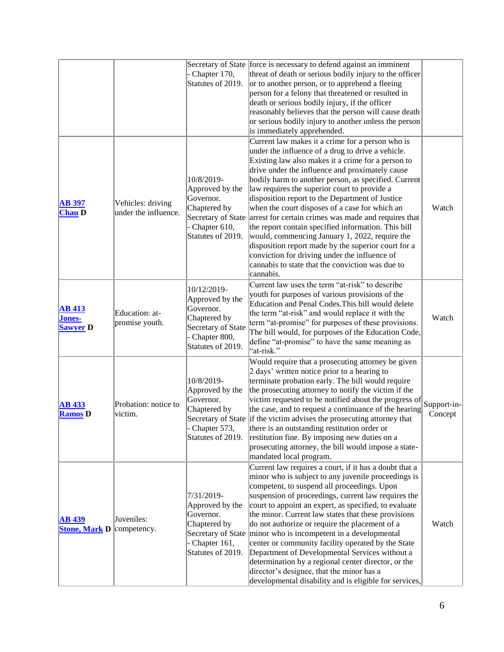|                                                   |                                           | Chapter 170,<br>Statutes of 2019.                                                                                       | Secretary of State force is necessary to defend against an imminent<br>threat of death or serious bodily injury to the officer<br>or to another person, or to apprehend a fleeing<br>person for a felony that threatened or resulted in<br>death or serious bodily injury, if the officer<br>reasonably believes that the person will cause death<br>or serious bodily injury to another unless the person<br>is immediately apprehended.                                                                                                                                                                                                                                                                                                                             |                        |
|---------------------------------------------------|-------------------------------------------|-------------------------------------------------------------------------------------------------------------------------|-----------------------------------------------------------------------------------------------------------------------------------------------------------------------------------------------------------------------------------------------------------------------------------------------------------------------------------------------------------------------------------------------------------------------------------------------------------------------------------------------------------------------------------------------------------------------------------------------------------------------------------------------------------------------------------------------------------------------------------------------------------------------|------------------------|
| <b>AB</b> 397<br><b>Chau D</b>                    | Vehicles: driving<br>under the influence. | 10/8/2019-<br>Approved by the<br>Governor.<br>Chaptered by<br>Secretary of State<br>- Chapter 610,<br>Statutes of 2019. | Current law makes it a crime for a person who is<br>under the influence of a drug to drive a vehicle.<br>Existing law also makes it a crime for a person to<br>drive under the influence and proximately cause<br>bodily harm to another person, as specified. Current<br>law requires the superior court to provide a<br>disposition report to the Department of Justice<br>when the court disposes of a case for which an<br>arrest for certain crimes was made and requires that<br>the report contain specified information. This bill<br>would, commencing January 1, 2022, require the<br>disposition report made by the superior court for a<br>conviction for driving under the influence of<br>cannabis to state that the conviction was due to<br>cannabis. | Watch                  |
| <b>AB 413</b><br><b>Jones-</b><br><b>Sawyer</b> D | Education: at-<br>promise youth.          | 10/12/2019-<br>Approved by the<br>Governor.<br>Chaptered by<br>Secretary of State<br>Chapter 800,<br>Statutes of 2019.  | Current law uses the term "at-risk" to describe<br>youth for purposes of various provisions of the<br>Education and Penal Codes. This bill would delete<br>the term "at-risk" and would replace it with the<br>term "at-promise" for purposes of these provisions.<br>The bill would, for purposes of the Education Code,<br>define "at-promise" to have the same meaning as<br>"at-risk."                                                                                                                                                                                                                                                                                                                                                                            | Watch                  |
| <b>AB 433</b><br><b>Ramos</b> D                   | Probation: notice to<br>victim.           | 10/8/2019-<br>Approved by the<br>Governor.<br>Chaptered by<br>- Chapter 573,<br>Statutes of 2019.                       | Would require that a prosecuting attorney be given<br>2 days' written notice prior to a hearing to<br>terminate probation early. The bill would require<br>the prosecuting attorney to notify the victim if the<br>victim requested to be notified about the progress of<br>the case, and to request a continuance of the hearing<br>Secretary of State if the victim advises the prosecuting attorney that<br>there is an outstanding restitution order or<br>restitution fine. By imposing new duties on a<br>prosecuting attorney, the bill would impose a state-<br>mandated local program.                                                                                                                                                                       | Support-in-<br>Concept |
| <b>AB</b> 439<br><b>Stone, Mark D</b>             | Juveniles:<br>competency.                 | 7/31/2019-<br>Approved by the<br>Governor.<br>Chaptered by<br>Secretary of State<br>Chapter 161,<br>Statutes of 2019.   | Current law requires a court, if it has a doubt that a<br>minor who is subject to any juvenile proceedings is<br>competent, to suspend all proceedings. Upon<br>suspension of proceedings, current law requires the<br>court to appoint an expert, as specified, to evaluate<br>the minor. Current law states that these provisions<br>do not authorize or require the placement of a<br>minor who is incompetent in a developmental<br>center or community facility operated by the State<br>Department of Developmental Services without a<br>determination by a regional center director, or the<br>director's designee, that the minor has a<br>developmental disability and is eligible for services,                                                            | Watch                  |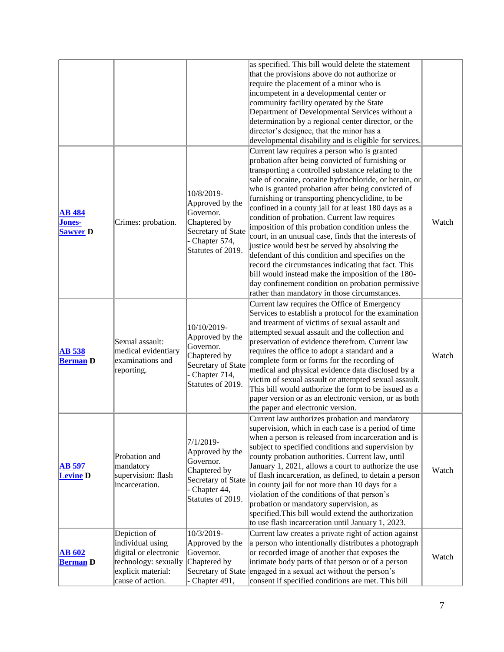|                                            | explicit material:<br>cause of action.                                            | Chapter 491,                                                                                                           | Secretary of State engaged in a sexual act without the person's<br>consent if specified conditions are met. This bill                                                                                                                                                                                                                                                                                                                                                                                                                                                                                                                                                                                                                                                                                                                                                   |       |
|--------------------------------------------|-----------------------------------------------------------------------------------|------------------------------------------------------------------------------------------------------------------------|-------------------------------------------------------------------------------------------------------------------------------------------------------------------------------------------------------------------------------------------------------------------------------------------------------------------------------------------------------------------------------------------------------------------------------------------------------------------------------------------------------------------------------------------------------------------------------------------------------------------------------------------------------------------------------------------------------------------------------------------------------------------------------------------------------------------------------------------------------------------------|-------|
| <b>AB 602</b><br><b>Berman</b> D           | Depiction of<br>individual using<br>digital or electronic<br>technology: sexually | 10/3/2019-<br>Approved by the<br>Governor.<br>Chaptered by                                                             | Current law creates a private right of action against<br>a person who intentionally distributes a photograph<br>or recorded image of another that exposes the<br>intimate body parts of that person or of a person                                                                                                                                                                                                                                                                                                                                                                                                                                                                                                                                                                                                                                                      | Watch |
| <b>AB</b> 597<br><b>Levine D</b>           | Probation and<br>mandatory<br>supervision: flash<br>incarceration.                | 7/1/2019-<br>Approved by the<br>Governor.<br>Chaptered by<br>Secretary of State<br>Chapter 44,<br>Statutes of 2019.    | Current law authorizes probation and mandatory<br>supervision, which in each case is a period of time<br>when a person is released from incarceration and is<br>subject to specified conditions and supervision by<br>county probation authorities. Current law, until<br>January 1, 2021, allows a court to authorize the use<br>of flash incarceration, as defined, to detain a person<br>in county jail for not more than 10 days for a<br>violation of the conditions of that person's<br>probation or mandatory supervision, as<br>specified. This bill would extend the authorization<br>to use flash incarceration until January 1, 2023.                                                                                                                                                                                                                        | Watch |
| <b>AB 538</b><br><b>Berman D</b>           | Sexual assault:<br>medical evidentiary<br>examinations and<br>reporting.          | 10/10/2019-<br>Approved by the<br>Governor.<br>Chaptered by<br>Secretary of State<br>Chapter 714,<br>Statutes of 2019. | Current law requires the Office of Emergency<br>Services to establish a protocol for the examination<br>and treatment of victims of sexual assault and<br>attempted sexual assault and the collection and<br>preservation of evidence therefrom. Current law<br>requires the office to adopt a standard and a<br>complete form or forms for the recording of<br>medical and physical evidence data disclosed by a<br>victim of sexual assault or attempted sexual assault.<br>This bill would authorize the form to be issued as a<br>paper version or as an electronic version, or as both<br>the paper and electronic version.                                                                                                                                                                                                                                        | Watch |
| <b>AB</b> 484<br>Jones-<br><b>Sawyer D</b> | Crimes: probation.                                                                | 10/8/2019-<br>Approved by the<br>Governor.<br>Chaptered by<br>Secretary of State<br>Chapter 574,<br>Statutes of 2019.  | Current law requires a person who is granted<br>probation after being convicted of furnishing or<br>transporting a controlled substance relating to the<br>sale of cocaine, cocaine hydrochloride, or heroin, or<br>who is granted probation after being convicted of<br>furnishing or transporting phencyclidine, to be<br>confined in a county jail for at least 180 days as a<br>condition of probation. Current law requires<br>imposition of this probation condition unless the<br>court, in an unusual case, finds that the interests of<br>justice would best be served by absolving the<br>defendant of this condition and specifies on the<br>record the circumstances indicating that fact. This<br>bill would instead make the imposition of the 180-<br>day confinement condition on probation permissive<br>rather than mandatory in those circumstances. | Watch |
|                                            |                                                                                   |                                                                                                                        | as specified. This bill would delete the statement<br>that the provisions above do not authorize or<br>require the placement of a minor who is<br>incompetent in a developmental center or<br>community facility operated by the State<br>Department of Developmental Services without a<br>determination by a regional center director, or the<br>director's designee, that the minor has a<br>developmental disability and is eligible for services.                                                                                                                                                                                                                                                                                                                                                                                                                  |       |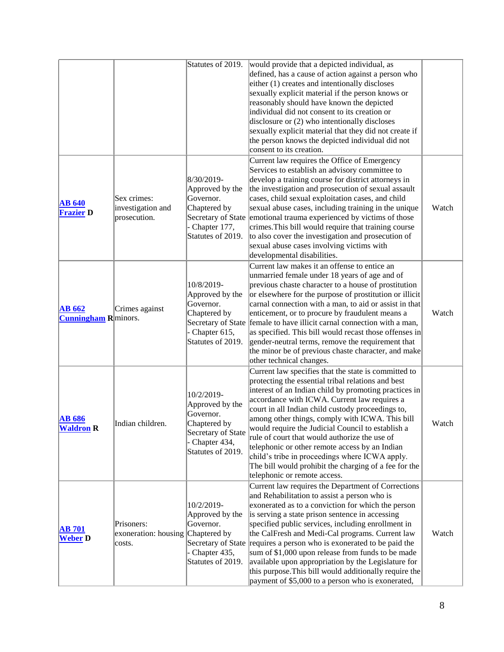|                                              |                                                           | Statutes of 2019.                                                                                                       | would provide that a depicted individual, as<br>defined, has a cause of action against a person who<br>either (1) creates and intentionally discloses<br>sexually explicit material if the person knows or<br>reasonably should have known the depicted<br>individual did not consent to its creation or<br>disclosure or $(2)$ who intentionally discloses<br>sexually explicit material that they did not create if<br>the person knows the depicted individual did not<br>consent to its creation.                                                                                                                          |       |
|----------------------------------------------|-----------------------------------------------------------|-------------------------------------------------------------------------------------------------------------------------|--------------------------------------------------------------------------------------------------------------------------------------------------------------------------------------------------------------------------------------------------------------------------------------------------------------------------------------------------------------------------------------------------------------------------------------------------------------------------------------------------------------------------------------------------------------------------------------------------------------------------------|-------|
| <b>AB 640</b><br><b>Frazier D</b>            | Sex crimes:<br>investigation and<br>prosecution.          | 8/30/2019-<br>Approved by the<br>Governor.<br>Chaptered by<br>Secretary of State<br>- Chapter 177,<br>Statutes of 2019. | Current law requires the Office of Emergency<br>Services to establish an advisory committee to<br>develop a training course for district attorneys in<br>the investigation and prosecution of sexual assault<br>cases, child sexual exploitation cases, and child<br>sexual abuse cases, including training in the unique<br>emotional trauma experienced by victims of those<br>crimes. This bill would require that training course<br>to also cover the investigation and prosecution of<br>sexual abuse cases involving victims with<br>developmental disabilities.                                                        | Watch |
| <b>AB 662</b><br><b>Cunningham R</b> minors. | Crimes against                                            | 10/8/2019-<br>Approved by the<br>Governor.<br>Chaptered by<br>Chapter 615,<br>Statutes of 2019.                         | Current law makes it an offense to entice an<br>unmarried female under 18 years of age and of<br>previous chaste character to a house of prostitution<br>or elsewhere for the purpose of prostitution or illicit<br>carnal connection with a man, to aid or assist in that<br>enticement, or to procure by fraudulent means a<br>Secretary of State female to have illicit carnal connection with a man,<br>as specified. This bill would recast those offenses in<br>gender-neutral terms, remove the requirement that<br>the minor be of previous chaste character, and make<br>other technical changes.                     | Watch |
| <b>AB</b> 686<br><b>Waldron</b> R            | Indian children.                                          | 10/2/2019-<br>Approved by the<br>Governor.<br>Chaptered by<br>Secretary of State<br>Chapter 434,<br>Statutes of 2019.   | Current law specifies that the state is committed to<br>protecting the essential tribal relations and best<br>interest of an Indian child by promoting practices in<br>accordance with ICWA. Current law requires a<br>court in all Indian child custody proceedings to,<br>among other things, comply with ICWA. This bill<br>would require the Judicial Council to establish a<br>rule of court that would authorize the use of<br>telephonic or other remote access by an Indian<br>child's tribe in proceedings where ICWA apply.<br>The bill would prohibit the charging of a fee for the<br>telephonic or remote access. | Watch |
| <b>AB 701</b><br><b>Weber</b> D              | Prisoners:<br>exoneration: housing Chaptered by<br>costs. | 10/2/2019-<br>Approved by the<br>Governor.<br>Secretary of State<br>- Chapter 435,<br>Statutes of 2019.                 | Current law requires the Department of Corrections<br>and Rehabilitation to assist a person who is<br>exonerated as to a conviction for which the person<br>is serving a state prison sentence in accessing<br>specified public services, including enrollment in<br>the CalFresh and Medi-Cal programs. Current law<br>requires a person who is exonerated to be paid the<br>sum of \$1,000 upon release from funds to be made<br>available upon appropriation by the Legislature for<br>this purpose. This bill would additionally require the<br>payment of \$5,000 to a person who is exonerated,                          | Watch |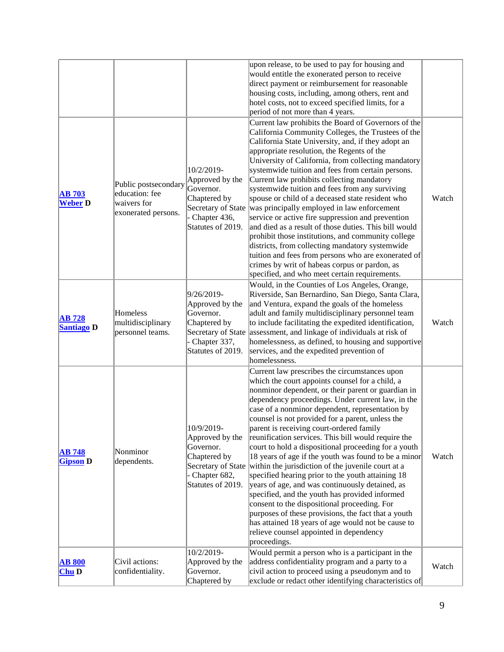|                                    |                                                                              |                                                                                                                         | upon release, to be used to pay for housing and<br>would entitle the exonerated person to receive<br>direct payment or reimbursement for reasonable<br>housing costs, including, among others, rent and<br>hotel costs, not to exceed specified limits, for a<br>period of not more than 4 years.                                                                                                                                                                                                                                                                                                                                                                                                                                                                                                                                                                                                                                                                             |       |
|------------------------------------|------------------------------------------------------------------------------|-------------------------------------------------------------------------------------------------------------------------|-------------------------------------------------------------------------------------------------------------------------------------------------------------------------------------------------------------------------------------------------------------------------------------------------------------------------------------------------------------------------------------------------------------------------------------------------------------------------------------------------------------------------------------------------------------------------------------------------------------------------------------------------------------------------------------------------------------------------------------------------------------------------------------------------------------------------------------------------------------------------------------------------------------------------------------------------------------------------------|-------|
| <b>AB 703</b><br><b>Weber D</b>    | Public postsecondary<br>education: fee<br>waivers for<br>exonerated persons. | 10/2/2019-<br>Approved by the<br>Governor.<br>Chaptered by<br>Secretary of State<br>Chapter 436,<br>Statutes of 2019.   | Current law prohibits the Board of Governors of the<br>California Community Colleges, the Trustees of the<br>California State University, and, if they adopt an<br>appropriate resolution, the Regents of the<br>University of California, from collecting mandatory<br>systemwide tuition and fees from certain persons.<br>Current law prohibits collecting mandatory<br>systemwide tuition and fees from any surviving<br>spouse or child of a deceased state resident who<br>was principally employed in law enforcement<br>service or active fire suppression and prevention<br>and died as a result of those duties. This bill would<br>prohibit those institutions, and community college<br>districts, from collecting mandatory systemwide<br>tuition and fees from persons who are exonerated of<br>crimes by writ of habeas corpus or pardon, as<br>specified, and who meet certain requirements.                                                                  | Watch |
| <b>AB 728</b><br><b>Santiago D</b> | Homeless<br>multidisciplinary<br>personnel teams.                            | 9/26/2019-<br>Approved by the<br>Governor.<br>Chaptered by<br>Secretary of State<br>- Chapter 337,<br>Statutes of 2019. | Would, in the Counties of Los Angeles, Orange,<br>Riverside, San Bernardino, San Diego, Santa Clara,<br>and Ventura, expand the goals of the homeless<br>adult and family multidisciplinary personnel team<br>to include facilitating the expedited identification,<br>assessment, and linkage of individuals at risk of<br>homelessness, as defined, to housing and supportive<br>services, and the expedited prevention of<br>homelessness.                                                                                                                                                                                                                                                                                                                                                                                                                                                                                                                                 | Watch |
| <b>AB 748</b><br><b>Gipson D</b>   | Nonminor<br>dependents.                                                      | 10/9/2019-<br>Approved by the<br>Governor.<br>Chaptered by<br>Secretary of State<br>- Chapter 682,<br>Statutes of 2019. | Current law prescribes the circumstances upon<br>which the court appoints counsel for a child, a<br>nonminor dependent, or their parent or guardian in<br>dependency proceedings. Under current law, in the<br>case of a nonminor dependent, representation by<br>counsel is not provided for a parent, unless the<br>parent is receiving court-ordered family<br>reunification services. This bill would require the<br>court to hold a dispositional proceeding for a youth<br>18 years of age if the youth was found to be a minor<br>within the jurisdiction of the juvenile court at a<br>specified hearing prior to the youth attaining 18<br>years of age, and was continuously detained, as<br>specified, and the youth has provided informed<br>consent to the dispositional proceeding. For<br>purposes of these provisions, the fact that a youth<br>has attained 18 years of age would not be cause to<br>relieve counsel appointed in dependency<br>proceedings. | Watch |
| <b>AB 800</b><br>$Chu$ D           | Civil actions:<br>confidentiality.                                           | 10/2/2019-<br>Approved by the<br>Governor.<br>Chaptered by                                                              | Would permit a person who is a participant in the<br>address confidentiality program and a party to a<br>civil action to proceed using a pseudonym and to<br>exclude or redact other identifying characteristics of                                                                                                                                                                                                                                                                                                                                                                                                                                                                                                                                                                                                                                                                                                                                                           | Watch |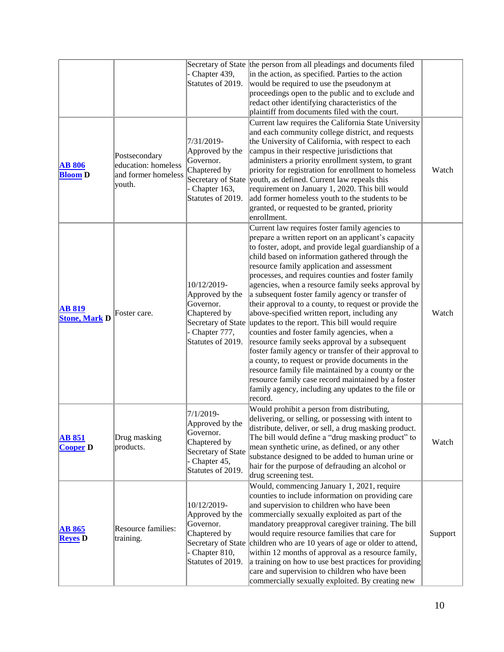|                                       |                                                                       | Chapter 439,<br>Statutes of 2019.                                                                                   | Secretary of State the person from all pleadings and documents filed<br>in the action, as specified. Parties to the action<br>would be required to use the pseudonym at<br>proceedings open to the public and to exclude and<br>redact other identifying characteristics of the<br>plaintiff from documents filed with the court.                                                                                                                                                                                                                                                                                                                                                                                                                                                                                                                                                                                                                                                                          |         |
|---------------------------------------|-----------------------------------------------------------------------|---------------------------------------------------------------------------------------------------------------------|------------------------------------------------------------------------------------------------------------------------------------------------------------------------------------------------------------------------------------------------------------------------------------------------------------------------------------------------------------------------------------------------------------------------------------------------------------------------------------------------------------------------------------------------------------------------------------------------------------------------------------------------------------------------------------------------------------------------------------------------------------------------------------------------------------------------------------------------------------------------------------------------------------------------------------------------------------------------------------------------------------|---------|
| <b>AB 806</b><br><b>Bloom D</b>       | Postsecondary<br>education: homeless<br>and former homeless<br>youth. | 7/31/2019-<br>Approved by the<br>Governor.<br>Chaptered by<br>Chapter 163,<br>Statutes of 2019.                     | Current law requires the California State University<br>and each community college district, and requests<br>the University of California, with respect to each<br>campus in their respective jurisdictions that<br>administers a priority enrollment system, to grant<br>priority for registration for enrollment to homeless<br>Secretary of State vouth, as defined. Current law repeals this<br>requirement on January 1, 2020. This bill would<br>add former homeless youth to the students to be<br>granted, or requested to be granted, priority<br>enrollment.                                                                                                                                                                                                                                                                                                                                                                                                                                     | Watch   |
| <b>AB 819</b><br><b>Stone, Mark D</b> | Foster care.                                                          | 10/12/2019-<br>Approved by the<br>Governor.<br>Chaptered by<br>Chapter 777,<br>Statutes of 2019.                    | Current law requires foster family agencies to<br>prepare a written report on an applicant's capacity<br>to foster, adopt, and provide legal guardianship of a<br>child based on information gathered through the<br>resource family application and assessment<br>processes, and requires counties and foster family<br>agencies, when a resource family seeks approval by<br>a subsequent foster family agency or transfer of<br>their approval to a county, to request or provide the<br>above-specified written report, including any<br>Secretary of State updates to the report. This bill would require<br>counties and foster family agencies, when a<br>resource family seeks approval by a subsequent<br>foster family agency or transfer of their approval to<br>a county, to request or provide documents in the<br>resource family file maintained by a county or the<br>resource family case record maintained by a foster<br>family agency, including any updates to the file or<br>record. | Watch   |
| <b>AB 851</b><br><b>Cooper D</b>      | Drug masking<br>products.                                             | 7/1/2019-<br>Approved by the<br>Governor.<br>Chaptered by<br>Secretary of State<br>Chapter 45,<br>Statutes of 2019. | Would prohibit a person from distributing,<br>delivering, or selling, or possessing with intent to<br>distribute, deliver, or sell, a drug masking product.<br>The bill would define a "drug masking product" to<br>mean synthetic urine, as defined, or any other<br>substance designed to be added to human urine or<br>hair for the purpose of defrauding an alcohol or<br>drug screening test.                                                                                                                                                                                                                                                                                                                                                                                                                                                                                                                                                                                                         | Watch   |
| <b>AB 865</b><br><b>Reyes</b> D       | Resource families:<br>training.                                       | 10/12/2019-<br>Approved by the<br>Governor.<br>Chaptered by<br>- Chapter 810,<br>Statutes of 2019.                  | Would, commencing January 1, 2021, require<br>counties to include information on providing care<br>and supervision to children who have been<br>commercially sexually exploited as part of the<br>mandatory preapproval caregiver training. The bill<br>would require resource families that care for<br>Secretary of State children who are 10 years of age or older to attend,<br>within 12 months of approval as a resource family,<br>a training on how to use best practices for providing<br>care and supervision to children who have been<br>commercially sexually exploited. By creating new                                                                                                                                                                                                                                                                                                                                                                                                      | Support |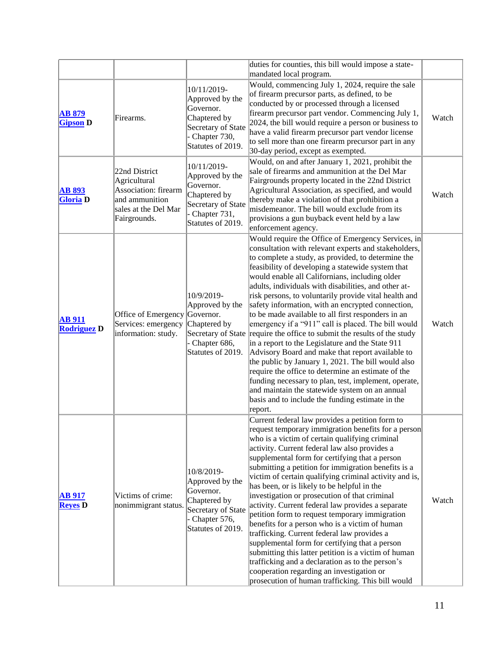|                                     |                                                                                                                 |                                                                                                                          | duties for counties, this bill would impose a state-                                                                                                                                                                                                                                                                                                                                                                                                                                                                                                                                                                                                                                                                                                                                                                                                                                                                                                                                                                                |       |
|-------------------------------------|-----------------------------------------------------------------------------------------------------------------|--------------------------------------------------------------------------------------------------------------------------|-------------------------------------------------------------------------------------------------------------------------------------------------------------------------------------------------------------------------------------------------------------------------------------------------------------------------------------------------------------------------------------------------------------------------------------------------------------------------------------------------------------------------------------------------------------------------------------------------------------------------------------------------------------------------------------------------------------------------------------------------------------------------------------------------------------------------------------------------------------------------------------------------------------------------------------------------------------------------------------------------------------------------------------|-------|
| <b>AB 879</b><br><b>Gipson D</b>    | Firearms.                                                                                                       | 10/11/2019-<br>Approved by the<br>Governor.<br>Chaptered by<br>Secretary of State<br>- Chapter 730,<br>Statutes of 2019. | mandated local program.<br>Would, commencing July 1, 2024, require the sale<br>of firearm precursor parts, as defined, to be<br>conducted by or processed through a licensed<br>firearm precursor part vendor. Commencing July 1,<br>2024, the bill would require a person or business to<br>have a valid firearm precursor part vendor license<br>to sell more than one firearm precursor part in any<br>30-day period, except as exempted.                                                                                                                                                                                                                                                                                                                                                                                                                                                                                                                                                                                        | Watch |
| <b>AB 893</b><br><b>Gloria</b> D    | 22nd District<br>Agricultural<br>Association: firearm<br>and ammunition<br>sales at the Del Mar<br>Fairgrounds. | 10/11/2019-<br>Approved by the<br>Governor.<br>Chaptered by<br>Secretary of State<br>Chapter 731,<br>Statutes of 2019.   | Would, on and after January 1, 2021, prohibit the<br>sale of firearms and ammunition at the Del Mar<br>Fairgrounds property located in the 22nd District<br>Agricultural Association, as specified, and would<br>thereby make a violation of that prohibition a<br>misdemeanor. The bill would exclude from its<br>provisions a gun buyback event held by a law<br>enforcement agency.                                                                                                                                                                                                                                                                                                                                                                                                                                                                                                                                                                                                                                              | Watch |
| <b>AB</b> 911<br><b>Rodriguez D</b> | Office of Emergency<br>Services: emergency<br>information: study.                                               | 10/9/2019-<br>Approved by the<br>Governor.<br>Chaptered by<br>Chapter 686,<br>Statutes of 2019.                          | Would require the Office of Emergency Services, in<br>consultation with relevant experts and stakeholders,<br>to complete a study, as provided, to determine the<br>feasibility of developing a statewide system that<br>would enable all Californians, including older<br>adults, individuals with disabilities, and other at-<br>risk persons, to voluntarily provide vital health and<br>safety information, with an encrypted connection,<br>to be made available to all first responders in an<br>emergency if a "911" call is placed. The bill would<br>Secretary of State require the office to submit the results of the study<br>in a report to the Legislature and the State 911<br>Advisory Board and make that report available to<br>the public by January 1, 2021. The bill would also<br>require the office to determine an estimate of the<br>funding necessary to plan, test, implement, operate,<br>and maintain the statewide system on an annual<br>basis and to include the funding estimate in the<br>report. | Watch |
| <b>AB 917</b><br><b>Reyes</b> D     | Victims of crime:<br>nonimmigrant status.                                                                       | 10/8/2019-<br>Approved by the<br>Governor.<br>Chaptered by<br>Secretary of State<br>Chapter 576,<br>Statutes of 2019.    | Current federal law provides a petition form to<br>request temporary immigration benefits for a person<br>who is a victim of certain qualifying criminal<br>activity. Current federal law also provides a<br>supplemental form for certifying that a person<br>submitting a petition for immigration benefits is a<br>victim of certain qualifying criminal activity and is,<br>has been, or is likely to be helpful in the<br>investigation or prosecution of that criminal<br>activity. Current federal law provides a separate<br>petition form to request temporary immigration<br>benefits for a person who is a victim of human<br>trafficking. Current federal law provides a<br>supplemental form for certifying that a person<br>submitting this latter petition is a victim of human<br>trafficking and a declaration as to the person's<br>cooperation regarding an investigation or<br>prosecution of human trafficking. This bill would                                                                                | Watch |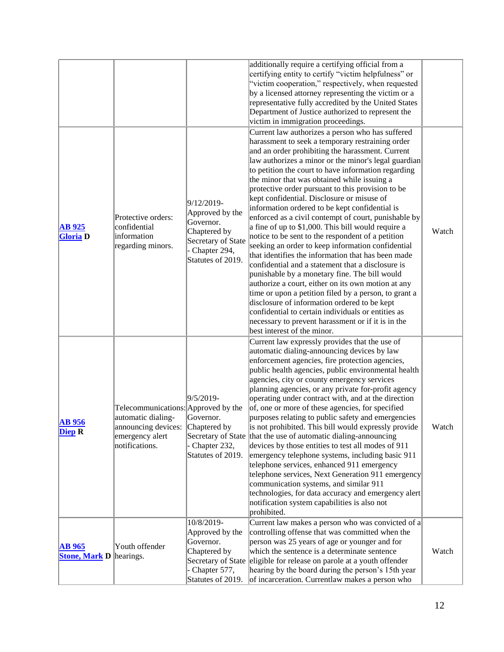|                                                 |                                                                                                                                    |                                                                                                                       | additionally require a certifying official from a<br>certifying entity to certify "victim helpfulness" or<br>"victim cooperation," respectively, when requested<br>by a licensed attorney representing the victim or a<br>representative fully accredited by the United States<br>Department of Justice authorized to represent the<br>victim in immigration proceedings.                                                                                                                                                                                                                                                                                                                                                                                                                                                                                                                                                                                                                                                                                                                                                                                                 |       |
|-------------------------------------------------|------------------------------------------------------------------------------------------------------------------------------------|-----------------------------------------------------------------------------------------------------------------------|---------------------------------------------------------------------------------------------------------------------------------------------------------------------------------------------------------------------------------------------------------------------------------------------------------------------------------------------------------------------------------------------------------------------------------------------------------------------------------------------------------------------------------------------------------------------------------------------------------------------------------------------------------------------------------------------------------------------------------------------------------------------------------------------------------------------------------------------------------------------------------------------------------------------------------------------------------------------------------------------------------------------------------------------------------------------------------------------------------------------------------------------------------------------------|-------|
| <b>AB</b> 925<br><b>Gloria</b> D                | Protective orders:<br>confidential<br>information<br>regarding minors.                                                             | 9/12/2019-<br>Approved by the<br>Governor.<br>Chaptered by<br>Secretary of State<br>Chapter 294,<br>Statutes of 2019. | Current law authorizes a person who has suffered<br>harassment to seek a temporary restraining order<br>and an order prohibiting the harassment. Current<br>law authorizes a minor or the minor's legal guardian<br>to petition the court to have information regarding<br>the minor that was obtained while issuing a<br>protective order pursuant to this provision to be<br>kept confidential. Disclosure or misuse of<br>information ordered to be kept confidential is<br>enforced as a civil contempt of court, punishable by<br>a fine of up to \$1,000. This bill would require a<br>notice to be sent to the respondent of a petition<br>seeking an order to keep information confidential<br>that identifies the information that has been made<br>confidential and a statement that a disclosure is<br>punishable by a monetary fine. The bill would<br>authorize a court, either on its own motion at any<br>time or upon a petition filed by a person, to grant a<br>disclosure of information ordered to be kept<br>confidential to certain individuals or entities as<br>necessary to prevent harassment or if it is in the<br>best interest of the minor. | Watch |
| <b>AB</b> 956<br>Diep R                         | Telecommunications: Approved by the<br>automatic dialing-<br>announcing devices: Chaptered by<br>emergency alert<br>notifications. | 9/5/2019-<br>Governor.<br>Chapter 232,<br>Statutes of 2019.                                                           | Current law expressly provides that the use of<br>automatic dialing-announcing devices by law<br>enforcement agencies, fire protection agencies,<br>public health agencies, public environmental health<br>agencies, city or county emergency services<br>planning agencies, or any private for-profit agency<br>operating under contract with, and at the direction<br>of, one or more of these agencies, for specified<br>purposes relating to public safety and emergencies<br>is not prohibited. This bill would expressly provide<br>Secretary of State that the use of automatic dialing-announcing<br>devices by those entities to test all modes of 911<br>emergency telephone systems, including basic 911<br>telephone services, enhanced 911 emergency<br>telephone services, Next Generation 911 emergency<br>communication systems, and similar 911<br>technologies, for data accuracy and emergency alert<br>notification system capabilities is also not<br>prohibited.                                                                                                                                                                                    | Watch |
| <b>AB</b> 965<br><b>Stone, Mark D</b> hearings. | Youth offender                                                                                                                     | 10/8/2019-<br>Approved by the<br>Governor.<br>Chaptered by<br>- Chapter 577,<br>Statutes of 2019.                     | Current law makes a person who was convicted of a<br>controlling offense that was committed when the<br>person was 25 years of age or younger and for<br>which the sentence is a determinate sentence<br>Secretary of State eligible for release on parole at a youth offender<br>hearing by the board during the person's 15th year<br>of incarceration. Currentlaw makes a person who                                                                                                                                                                                                                                                                                                                                                                                                                                                                                                                                                                                                                                                                                                                                                                                   | Watch |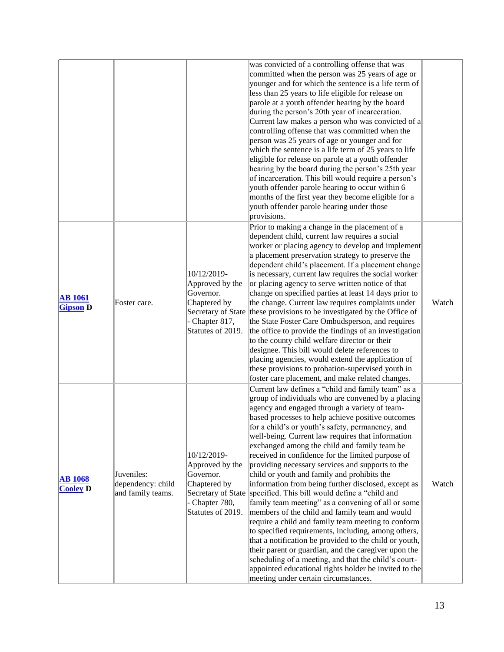|                                   |                                                      |                                                                                                                          | was convicted of a controlling offense that was<br>committed when the person was 25 years of age or<br>younger and for which the sentence is a life term of<br>less than 25 years to life eligible for release on<br>parole at a youth offender hearing by the board<br>during the person's 20th year of incarceration.<br>Current law makes a person who was convicted of a<br>controlling offense that was committed when the<br>person was 25 years of age or younger and for<br>which the sentence is a life term of 25 years to life<br>eligible for release on parole at a youth offender<br>hearing by the board during the person's 25th year<br>of incarceration. This bill would require a person's<br>youth offender parole hearing to occur within 6<br>months of the first year they become eligible for a<br>youth offender parole hearing under those<br>provisions.                                                                                                                                                                                                                                                                         |       |
|-----------------------------------|------------------------------------------------------|--------------------------------------------------------------------------------------------------------------------------|-------------------------------------------------------------------------------------------------------------------------------------------------------------------------------------------------------------------------------------------------------------------------------------------------------------------------------------------------------------------------------------------------------------------------------------------------------------------------------------------------------------------------------------------------------------------------------------------------------------------------------------------------------------------------------------------------------------------------------------------------------------------------------------------------------------------------------------------------------------------------------------------------------------------------------------------------------------------------------------------------------------------------------------------------------------------------------------------------------------------------------------------------------------|-------|
| <b>AB</b> 1061<br><b>Gipson</b> D | Foster care.                                         | 10/12/2019-<br>Approved by the<br>Governor.<br>Chaptered by<br>Secretary of State<br>- Chapter 817,<br>Statutes of 2019. | Prior to making a change in the placement of a<br>dependent child, current law requires a social<br>worker or placing agency to develop and implement<br>a placement preservation strategy to preserve the<br>dependent child's placement. If a placement change<br>is necessary, current law requires the social worker<br>or placing agency to serve written notice of that<br>change on specified parties at least 14 days prior to<br>the change. Current law requires complaints under<br>these provisions to be investigated by the Office of<br>the State Foster Care Ombudsperson, and requires<br>the office to provide the findings of an investigation<br>to the county child welfare director or their<br>designee. This bill would delete references to<br>placing agencies, would extend the application of<br>these provisions to probation-supervised youth in<br>foster care placement, and make related changes.                                                                                                                                                                                                                          | Watch |
| <b>AB 1068</b><br><b>Cooley</b> D | Juveniles:<br>dependency: child<br>and family teams. | 10/12/2019-<br>Approved by the<br>Governor.<br>Chaptered by<br>- Chapter 780,<br>Statutes of 2019.                       | Current law defines a "child and family team" as a<br>group of individuals who are convened by a placing<br>agency and engaged through a variety of team-<br>based processes to help achieve positive outcomes<br>for a child's or youth's safety, permanency, and<br>well-being. Current law requires that information<br>exchanged among the child and family team be<br>received in confidence for the limited purpose of<br>providing necessary services and supports to the<br>child or youth and family and prohibits the<br>information from being further disclosed, except as<br>Secretary of State specified. This bill would define a "child and<br>family team meeting" as a convening of all or some<br>members of the child and family team and would<br>require a child and family team meeting to conform<br>to specified requirements, including, among others,<br>that a notification be provided to the child or youth,<br>their parent or guardian, and the caregiver upon the<br>scheduling of a meeting, and that the child's court-<br>appointed educational rights holder be invited to the<br>meeting under certain circumstances. | Watch |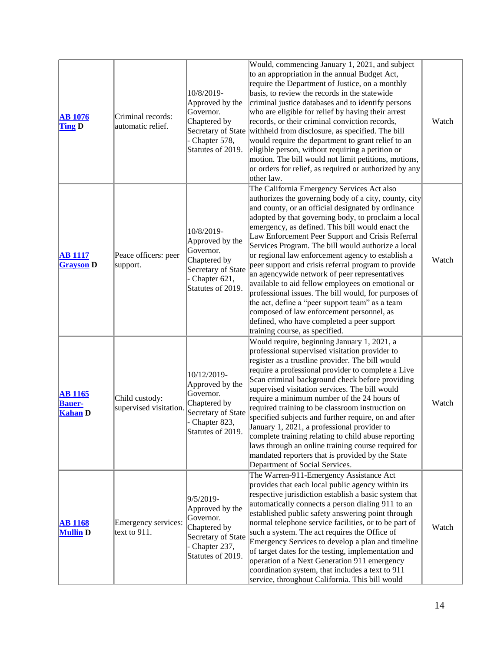| <b>AB</b> 1076<br><b>Ting D</b>                   | Criminal records:<br>automatic relief.   | 10/8/2019-<br>Approved by the<br>Governor.<br>Chaptered by<br>Chapter 578,<br>Statutes of 2019.                        | Would, commencing January 1, 2021, and subject<br>to an appropriation in the annual Budget Act,<br>require the Department of Justice, on a monthly<br>basis, to review the records in the statewide<br>criminal justice databases and to identify persons<br>who are eligible for relief by having their arrest<br>records, or their criminal conviction records,<br>Secretary of State withheld from disclosure, as specified. The bill<br>would require the department to grant relief to an<br>eligible person, without requiring a petition or<br>motion. The bill would not limit petitions, motions,<br>or orders for relief, as required or authorized by any<br>other law.                                                                                                                                                       | Watch |
|---------------------------------------------------|------------------------------------------|------------------------------------------------------------------------------------------------------------------------|------------------------------------------------------------------------------------------------------------------------------------------------------------------------------------------------------------------------------------------------------------------------------------------------------------------------------------------------------------------------------------------------------------------------------------------------------------------------------------------------------------------------------------------------------------------------------------------------------------------------------------------------------------------------------------------------------------------------------------------------------------------------------------------------------------------------------------------|-------|
| <b>AB</b> 1117<br><b>Grayson</b> D                | Peace officers: peer<br>support.         | 10/8/2019-<br>Approved by the<br>Governor.<br>Chaptered by<br>Secretary of State<br>Chapter 621,<br>Statutes of 2019.  | The California Emergency Services Act also<br>authorizes the governing body of a city, county, city<br>and county, or an official designated by ordinance<br>adopted by that governing body, to proclaim a local<br>emergency, as defined. This bill would enact the<br>Law Enforcement Peer Support and Crisis Referral<br>Services Program. The bill would authorize a local<br>or regional law enforcement agency to establish a<br>peer support and crisis referral program to provide<br>an agencywide network of peer representatives<br>available to aid fellow employees on emotional or<br>professional issues. The bill would, for purposes of<br>the act, define a "peer support team" as a team<br>composed of law enforcement personnel, as<br>defined, who have completed a peer support<br>training course, as specified. | Watch |
| <b>AB 1165</b><br><b>Bauer-</b><br><b>Kahan D</b> | Child custody:<br>supervised visitation. | 10/12/2019-<br>Approved by the<br>Governor.<br>Chaptered by<br>Secretary of State<br>Chapter 823,<br>Statutes of 2019. | Would require, beginning January 1, 2021, a<br>professional supervised visitation provider to<br>register as a trustline provider. The bill would<br>require a professional provider to complete a Live<br>Scan criminal background check before providing<br>supervised visitation services. The bill would<br>require a minimum number of the 24 hours of<br>required training to be classroom instruction on<br>specified subjects and further require, on and after<br>January 1, 2021, a professional provider to<br>complete training relating to child abuse reporting<br>laws through an online training course required for<br>mandated reporters that is provided by the State<br>Department of Social Services.                                                                                                               | Watch |
| <b>AB 1168</b><br><b>Mullin D</b>                 | Emergency services:<br>text to $911$ .   | 9/5/2019-<br>Approved by the<br>Governor.<br>Chaptered by<br>Secretary of State<br>Chapter 237,<br>Statutes of 2019.   | The Warren-911-Emergency Assistance Act<br>provides that each local public agency within its<br>respective jurisdiction establish a basic system that<br>automatically connects a person dialing 911 to an<br>established public safety answering point through<br>normal telephone service facilities, or to be part of<br>such a system. The act requires the Office of<br>Emergency Services to develop a plan and timeline<br>of target dates for the testing, implementation and<br>operation of a Next Generation 911 emergency<br>coordination system, that includes a text to 911<br>service, throughout California. This bill would                                                                                                                                                                                             | Watch |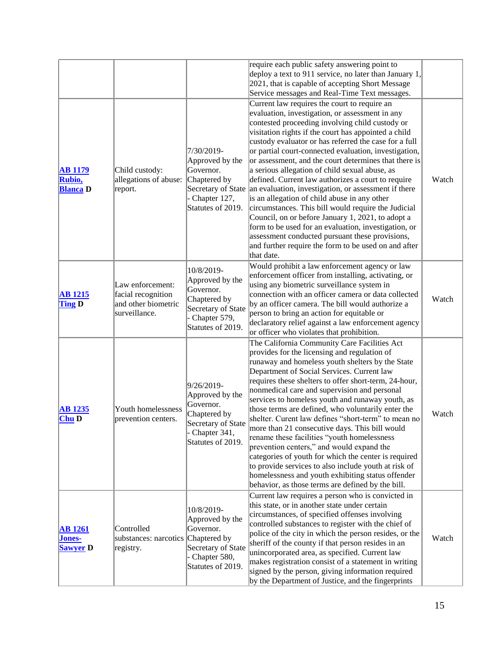|                                             |                                                                                |                                                                                                                         | require each public safety answering point to<br>deploy a text to 911 service, no later than January 1,<br>2021, that is capable of accepting Short Message<br>Service messages and Real-Time Text messages.                                                                                                                                                                                                                                                                                                                                                                                                                                                                                                                                                                                                                                                                                                          |       |
|---------------------------------------------|--------------------------------------------------------------------------------|-------------------------------------------------------------------------------------------------------------------------|-----------------------------------------------------------------------------------------------------------------------------------------------------------------------------------------------------------------------------------------------------------------------------------------------------------------------------------------------------------------------------------------------------------------------------------------------------------------------------------------------------------------------------------------------------------------------------------------------------------------------------------------------------------------------------------------------------------------------------------------------------------------------------------------------------------------------------------------------------------------------------------------------------------------------|-------|
| <b>AB 1179</b><br>Rubio,<br><b>Blanca</b> D | Child custody:<br>allegations of abuse:<br>report.                             | 7/30/2019-<br>Approved by the<br>Governor.<br>Chaptered by<br>Chapter 127,<br>Statutes of 2019.                         | Current law requires the court to require an<br>evaluation, investigation, or assessment in any<br>contested proceeding involving child custody or<br>visitation rights if the court has appointed a child<br>custody evaluator or has referred the case for a full<br>or partial court-connected evaluation, investigation,<br>or assessment, and the court determines that there is<br>a serious allegation of child sexual abuse, as<br>defined. Current law authorizes a court to require<br>Secretary of State an evaluation, investigation, or assessment if there<br>is an allegation of child abuse in any other<br>circumstances. This bill would require the Judicial<br>Council, on or before January 1, 2021, to adopt a<br>form to be used for an evaluation, investigation, or<br>assessment conducted pursuant these provisions,<br>and further require the form to be used on and after<br>that date. | Watch |
| <b>AB</b> 1215<br><b>Ting D</b>             | Law enforcement:<br>facial recognition<br>and other biometric<br>surveillance. | 10/8/2019-<br>Approved by the<br>Governor.<br>Chaptered by<br>Secretary of State<br>- Chapter 579,<br>Statutes of 2019. | Would prohibit a law enforcement agency or law<br>enforcement officer from installing, activating, or<br>using any biometric surveillance system in<br>connection with an officer camera or data collected<br>by an officer camera. The bill would authorize a<br>person to bring an action for equitable or<br>declaratory relief against a law enforcement agency<br>or officer who violates that prohibition.                                                                                                                                                                                                                                                                                                                                                                                                                                                                                                      | Watch |
| <b>AB</b> 1235<br>$Chu$ D                   | Youth homelessness<br>prevention centers.                                      | 9/26/2019-<br>Approved by the<br>Governor.<br>Chaptered by<br>Secretary of State<br>Chapter 341,<br>Statutes of 2019.   | The California Community Care Facilities Act<br>provides for the licensing and regulation of<br>runaway and homeless youth shelters by the State<br>Department of Social Services. Current law<br>requires these shelters to offer short-term, 24-hour,<br>nonmedical care and supervision and personal<br>services to homeless youth and runaway youth, as<br>those terms are defined, who voluntarily enter the<br>shelter. Curent law defines "short-term" to mean no<br>more than 21 consecutive days. This bill would<br>rename these facilities "youth homelessness<br>prevention centers," and would expand the<br>categories of youth for which the center is required<br>to provide services to also include youth at risk of<br>homelessness and youth exhibiting status offender<br>behavior, as those terms are defined by the bill.                                                                      | Watch |
| <b>AB</b> 1261<br>Jones-<br><b>Sawyer</b> D | Controlled<br>substances: narcotics Chaptered by<br>registry.                  | 10/8/2019-<br>Approved by the<br>Governor.<br>Secretary of State<br>Chapter 580,<br>Statutes of 2019.                   | Current law requires a person who is convicted in<br>this state, or in another state under certain<br>circumstances, of specified offenses involving<br>controlled substances to register with the chief of<br>police of the city in which the person resides, or the<br>sheriff of the county if that person resides in an<br>unincorporated area, as specified. Current law<br>makes registration consist of a statement in writing<br>signed by the person, giving information required<br>by the Department of Justice, and the fingerprints                                                                                                                                                                                                                                                                                                                                                                      | Watch |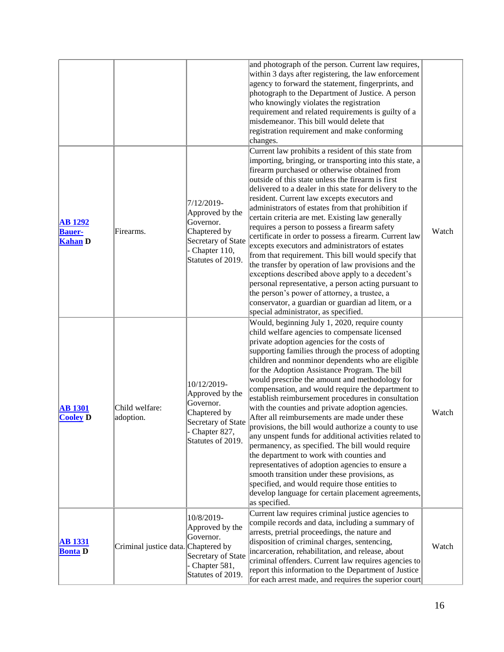|                                                   |                                     |                                                                                                                        | and photograph of the person. Current law requires,<br>within 3 days after registering, the law enforcement<br>agency to forward the statement, fingerprints, and<br>photograph to the Department of Justice. A person<br>who knowingly violates the registration<br>requirement and related requirements is guilty of a<br>misdemeanor. This bill would delete that<br>registration requirement and make conforming<br>changes.                                                                                                                                                                                                                                                                                                                                                                                                                                                                                                                                                                                           |       |
|---------------------------------------------------|-------------------------------------|------------------------------------------------------------------------------------------------------------------------|----------------------------------------------------------------------------------------------------------------------------------------------------------------------------------------------------------------------------------------------------------------------------------------------------------------------------------------------------------------------------------------------------------------------------------------------------------------------------------------------------------------------------------------------------------------------------------------------------------------------------------------------------------------------------------------------------------------------------------------------------------------------------------------------------------------------------------------------------------------------------------------------------------------------------------------------------------------------------------------------------------------------------|-------|
| <b>AB 1292</b><br><b>Bauer-</b><br><b>Kahan D</b> | Firearms.                           | 7/12/2019-<br>Approved by the<br>Governor.<br>Chaptered by<br>Secretary of State<br>Chapter 110,<br>Statutes of 2019.  | Current law prohibits a resident of this state from<br>importing, bringing, or transporting into this state, a<br>firearm purchased or otherwise obtained from<br>outside of this state unless the firearm is first<br>delivered to a dealer in this state for delivery to the<br>resident. Current law excepts executors and<br>administrators of estates from that prohibition if<br>certain criteria are met. Existing law generally<br>requires a person to possess a firearm safety<br>certificate in order to possess a firearm. Current law<br>excepts executors and administrators of estates<br>from that requirement. This bill would specify that<br>the transfer by operation of law provisions and the<br>exceptions described above apply to a decedent's<br>personal representative, a person acting pursuant to<br>the person's power of attorney, a trustee, a<br>conservator, a guardian or guardian ad litem, or a<br>special administrator, as specified.                                              | Watch |
| <b>AB 1301</b><br><b>Cooley D</b>                 | Child welfare:<br>adoption.         | 10/12/2019-<br>Approved by the<br>Governor.<br>Chaptered by<br>Secretary of State<br>Chapter 827,<br>Statutes of 2019. | Would, beginning July 1, 2020, require county<br>child welfare agencies to compensate licensed<br>private adoption agencies for the costs of<br>supporting families through the process of adopting<br>children and nonminor dependents who are eligible<br>for the Adoption Assistance Program. The bill<br>would prescribe the amount and methodology for<br>compensation, and would require the department to<br>establish reimbursement procedures in consultation<br>with the counties and private adoption agencies.<br>After all reimbursements are made under these<br>provisions, the bill would authorize a county to use<br>any unspent funds for additional activities related to<br>permanency, as specified. The bill would require<br>the department to work with counties and<br>representatives of adoption agencies to ensure a<br>smooth transition under these provisions, as<br>specified, and would require those entities to<br>develop language for certain placement agreements,<br>as specified. | Watch |
| <b>AB 1331</b><br><b>Bonta</b> D                  | Criminal justice data. Chaptered by | 10/8/2019-<br>Approved by the<br>Governor.<br>Secretary of State<br>Chapter 581,<br>Statutes of 2019.                  | Current law requires criminal justice agencies to<br>compile records and data, including a summary of<br>arrests, pretrial proceedings, the nature and<br>disposition of criminal charges, sentencing,<br>incarceration, rehabilitation, and release, about<br>criminal offenders. Current law requires agencies to<br>report this information to the Department of Justice<br>for each arrest made, and requires the superior court                                                                                                                                                                                                                                                                                                                                                                                                                                                                                                                                                                                       | Watch |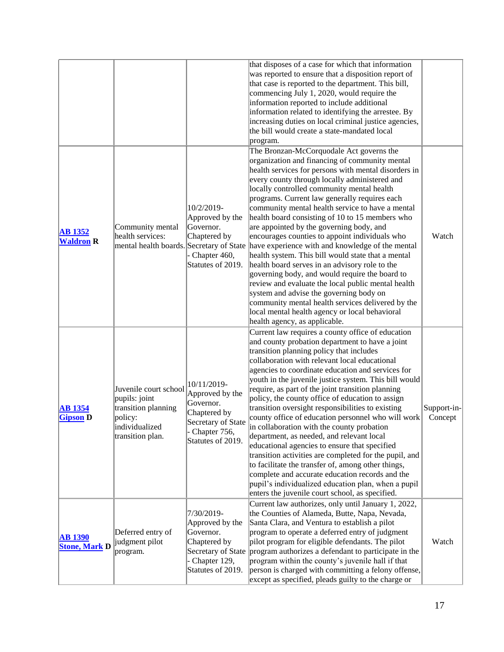|                                        |                                                                                                                |                                                                                                                        | that disposes of a case for which that information<br>was reported to ensure that a disposition report of<br>that case is reported to the department. This bill,<br>commencing July 1, 2020, would require the<br>information reported to include additional<br>information related to identifying the arrestee. By<br>increasing duties on local criminal justice agencies,<br>the bill would create a state-mandated local<br>program.                                                                                                                                                                                                                                                                                                                                                                                                                                                                                                                                                                |                        |
|----------------------------------------|----------------------------------------------------------------------------------------------------------------|------------------------------------------------------------------------------------------------------------------------|---------------------------------------------------------------------------------------------------------------------------------------------------------------------------------------------------------------------------------------------------------------------------------------------------------------------------------------------------------------------------------------------------------------------------------------------------------------------------------------------------------------------------------------------------------------------------------------------------------------------------------------------------------------------------------------------------------------------------------------------------------------------------------------------------------------------------------------------------------------------------------------------------------------------------------------------------------------------------------------------------------|------------------------|
| <b>AB</b> 1352<br><b>Waldron R</b>     | Community mental<br>health services:                                                                           | 10/2/2019-<br>Approved by the<br>Governor.<br>Chaptered by<br>Chapter 460,<br>Statutes of 2019.                        | The Bronzan-McCorquodale Act governs the<br>organization and financing of community mental<br>health services for persons with mental disorders in<br>every county through locally administered and<br>locally controlled community mental health<br>programs. Current law generally requires each<br>community mental health service to have a mental<br>health board consisting of 10 to 15 members who<br>are appointed by the governing body, and<br>encourages counties to appoint individuals who<br>mental health boards. Secretary of State have experience with and knowledge of the mental<br>health system. This bill would state that a mental<br>health board serves in an advisory role to the<br>governing body, and would require the board to<br>review and evaluate the local public mental health<br>system and advise the governing body on<br>community mental health services delivered by the<br>local mental health agency or local behavioral<br>health agency, as applicable. | Watch                  |
| <b>AB</b> 1354<br><b>Gipson D</b>      | Juvenile court school<br>pupils: joint<br>transition planning<br>policy:<br>individualized<br>transition plan. | 10/11/2019-<br>Approved by the<br>Governor.<br>Chaptered by<br>Secretary of State<br>Chapter 756,<br>Statutes of 2019. | Current law requires a county office of education<br>and county probation department to have a joint<br>transition planning policy that includes<br>collaboration with relevant local educational<br>agencies to coordinate education and services for<br>youth in the juvenile justice system. This bill would<br>require, as part of the joint transition planning<br>policy, the county office of education to assign<br>transition oversight responsibilities to existing<br>county office of education personnel who will work<br>in collaboration with the county probation<br>department, as needed, and relevant local<br>educational agencies to ensure that specified<br>transition activities are completed for the pupil, and<br>to facilitate the transfer of, among other things,<br>complete and accurate education records and the<br>pupil's individualized education plan, when a pupil<br>enters the juvenile court school, as specified.                                            | Support-in-<br>Concept |
| <b>AB 1390</b><br><b>Stone, Mark D</b> | Deferred entry of<br>judgment pilot<br>program.                                                                | 7/30/2019-<br>Approved by the<br>Governor.<br>Chaptered by<br>Chapter 129,<br>Statutes of 2019.                        | Current law authorizes, only until January 1, 2022,<br>the Counties of Alameda, Butte, Napa, Nevada,<br>Santa Clara, and Ventura to establish a pilot<br>program to operate a deferred entry of judgment<br>pilot program for eligible defendants. The pilot<br>Secretary of State program authorizes a defendant to participate in the<br>program within the county's juvenile hall if that<br>person is charged with committing a felony offense,<br>except as specified, pleads guilty to the charge or                                                                                                                                                                                                                                                                                                                                                                                                                                                                                              | Watch                  |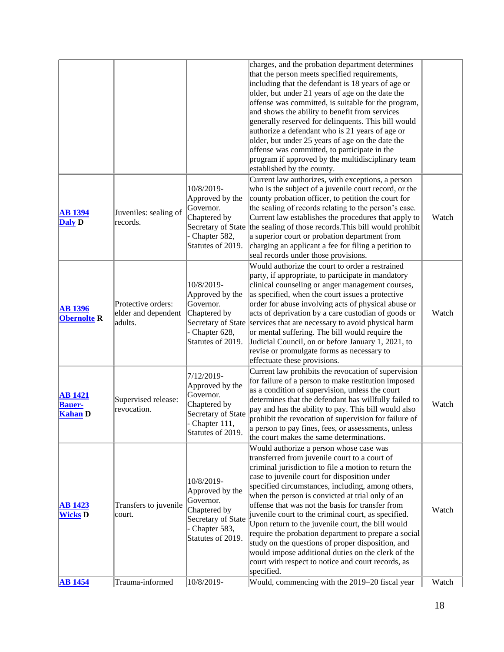| <b>AB</b> 1454                                    | Trauma-informed                                      | 10/8/2019-                                                                                                              | specified.<br>Would, commencing with the 2019–20 fiscal year                                                                                                                                                                                                                                                                                                                                                                                                                                                                                                                                                                                                                                       | Watch |
|---------------------------------------------------|------------------------------------------------------|-------------------------------------------------------------------------------------------------------------------------|----------------------------------------------------------------------------------------------------------------------------------------------------------------------------------------------------------------------------------------------------------------------------------------------------------------------------------------------------------------------------------------------------------------------------------------------------------------------------------------------------------------------------------------------------------------------------------------------------------------------------------------------------------------------------------------------------|-------|
| <b>AB</b> 1423<br><b>Wicks D</b>                  | Transfers to juvenile<br>court.                      | 10/8/2019-<br>Approved by the<br>Governor.<br>Chaptered by<br>Secretary of State<br>Chapter 583,<br>Statutes of 2019.   | Would authorize a person whose case was<br>transferred from juvenile court to a court of<br>criminal jurisdiction to file a motion to return the<br>case to juvenile court for disposition under<br>specified circumstances, including, among others,<br>when the person is convicted at trial only of an<br>offense that was not the basis for transfer from<br>juvenile court to the criminal court, as specified.<br>Upon return to the juvenile court, the bill would<br>require the probation department to prepare a social<br>study on the questions of proper disposition, and<br>would impose additional duties on the clerk of the<br>court with respect to notice and court records, as | Watch |
| <b>AB</b> 1421<br><b>Bauer-</b><br><b>Kahan</b> D | Supervised release:<br>revocation.                   | 7/12/2019-<br>Approved by the<br>Governor.<br>Chaptered by<br>Secretary of State<br>Chapter 111,<br>Statutes of 2019.   | Current law prohibits the revocation of supervision<br>for failure of a person to make restitution imposed<br>as a condition of supervision, unless the court<br>determines that the defendant has willfully failed to<br>pay and has the ability to pay. This bill would also<br>prohibit the revocation of supervision for failure of<br>a person to pay fines, fees, or assessments, unless<br>the court makes the same determinations.                                                                                                                                                                                                                                                         | Watch |
| <b>AB</b> 1396<br><b>Obernolte R</b>              | Protective orders:<br>elder and dependent<br>adults. | 10/8/2019-<br>Approved by the<br>Governor.<br>Chaptered by<br>Secretary of State<br>- Chapter 628,<br>Statutes of 2019. | Would authorize the court to order a restrained<br>party, if appropriate, to participate in mandatory<br>clinical counseling or anger management courses,<br>as specified, when the court issues a protective<br>order for abuse involving acts of physical abuse or<br>acts of deprivation by a care custodian of goods or<br>services that are necessary to avoid physical harm<br>or mental suffering. The bill would require the<br>Judicial Council, on or before January 1, 2021, to<br>revise or promulgate forms as necessary to<br>effectuate these provisions.                                                                                                                           | Watch |
| <b>AB</b> 1394<br><b>Daly D</b>                   | Juveniles: sealing of<br>records.                    | 10/8/2019-<br>Approved by the<br>Governor.<br>Chaptered by<br>- Chapter 582,<br>Statutes of 2019.                       | Current law authorizes, with exceptions, a person<br>who is the subject of a juvenile court record, or the<br>county probation officer, to petition the court for<br>the sealing of records relating to the person's case.<br>Current law establishes the procedures that apply to<br>Secretary of State the sealing of those records. This bill would prohibit<br>a superior court or probation department from<br>charging an applicant a fee for filing a petition to<br>seal records under those provisions.                                                                                                                                                                                   | Watch |
|                                                   |                                                      |                                                                                                                         | charges, and the probation department determines<br>that the person meets specified requirements,<br>including that the defendant is 18 years of age or<br>older, but under 21 years of age on the date the<br>offense was committed, is suitable for the program,<br>and shows the ability to benefit from services<br>generally reserved for delinquents. This bill would<br>authorize a defendant who is 21 years of age or<br>older, but under 25 years of age on the date the<br>offense was committed, to participate in the<br>program if approved by the multidisciplinary team<br>established by the county.                                                                              |       |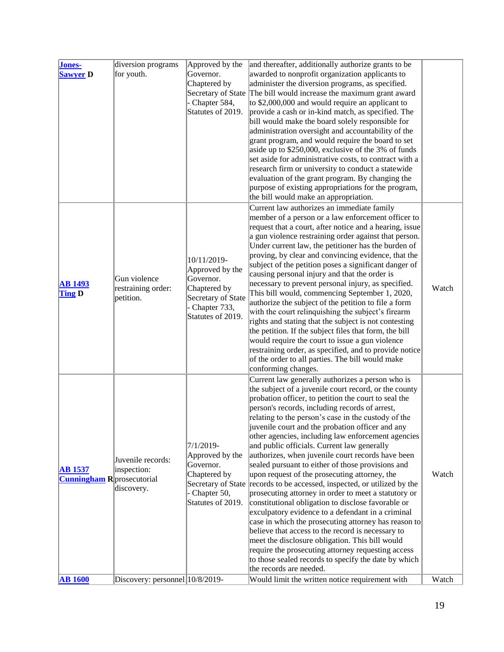| Jones-<br>Sawyer D                                  | diversion programs<br>for youth.                | Approved by the<br>Governor.<br>Chaptered by<br>Chapter 584,<br>Statutes of 2019.                                      | and thereafter, additionally authorize grants to be<br>awarded to nonprofit organization applicants to<br>administer the diversion programs, as specified.<br>Secretary of State The bill would increase the maximum grant award<br>to \$2,000,000 and would require an applicant to<br>provide a cash or in-kind match, as specified. The<br>bill would make the board solely responsible for<br>administration oversight and accountability of the<br>grant program, and would require the board to set<br>aside up to \$250,000, exclusive of the 3% of funds<br>set aside for administrative costs, to contract with a<br>research firm or university to conduct a statewide<br>evaluation of the grant program. By changing the<br>purpose of existing appropriations for the program,<br>the bill would make an appropriation.                                                                                                                                                                                                                                                                                                |       |
|-----------------------------------------------------|-------------------------------------------------|------------------------------------------------------------------------------------------------------------------------|-------------------------------------------------------------------------------------------------------------------------------------------------------------------------------------------------------------------------------------------------------------------------------------------------------------------------------------------------------------------------------------------------------------------------------------------------------------------------------------------------------------------------------------------------------------------------------------------------------------------------------------------------------------------------------------------------------------------------------------------------------------------------------------------------------------------------------------------------------------------------------------------------------------------------------------------------------------------------------------------------------------------------------------------------------------------------------------------------------------------------------------|-------|
| <b>AB</b> 1493<br><b>Ting D</b>                     | Gun violence<br>restraining order:<br>petition. | 10/11/2019-<br>Approved by the<br>Governor.<br>Chaptered by<br>Secretary of State<br>Chapter 733,<br>Statutes of 2019. | Current law authorizes an immediate family<br>member of a person or a law enforcement officer to<br>request that a court, after notice and a hearing, issue<br>a gun violence restraining order against that person.<br>Under current law, the petitioner has the burden of<br>proving, by clear and convincing evidence, that the<br>subject of the petition poses a significant danger of<br>causing personal injury and that the order is<br>necessary to prevent personal injury, as specified.<br>This bill would, commencing September 1, 2020,<br>authorize the subject of the petition to file a form<br>with the court relinquishing the subject's firearm<br>rights and stating that the subject is not contesting<br>the petition. If the subject files that form, the bill<br>would require the court to issue a gun violence<br>restraining order, as specified, and to provide notice<br>of the order to all parties. The bill would make<br>conforming changes.                                                                                                                                                      | Watch |
| <b>AB</b> 1537<br><b>Cunningham R</b> prosecutorial | Juvenile records:<br>inspection:<br>discovery.  | $ 7/1/2019-$<br>Approved by the<br>Governor.<br>Chaptered by<br>Secretary of State<br>Chapter 50,<br>Statutes of 2019. | Current law generally authorizes a person who is<br>the subject of a juvenile court record, or the county<br>probation officer, to petition the court to seal the<br>person's records, including records of arrest,<br>relating to the person's case in the custody of the<br>juvenile court and the probation officer and any<br>other agencies, including law enforcement agencies<br>and public officials. Current law generally<br>authorizes, when juvenile court records have been<br>sealed pursuant to either of those provisions and<br>upon request of the prosecuting attorney, the<br>records to be accessed, inspected, or utilized by the<br>prosecuting attorney in order to meet a statutory or<br>constitutional obligation to disclose favorable or<br>exculpatory evidence to a defendant in a criminal<br>case in which the prosecuting attorney has reason to<br>believe that access to the record is necessary to<br>meet the disclosure obligation. This bill would<br>require the prosecuting attorney requesting access<br>to those sealed records to specify the date by which<br>the records are needed. | Watch |
| <b>AB 1600</b>                                      | Discovery: personnel 10/8/2019-                 |                                                                                                                        | Would limit the written notice requirement with                                                                                                                                                                                                                                                                                                                                                                                                                                                                                                                                                                                                                                                                                                                                                                                                                                                                                                                                                                                                                                                                                     | Watch |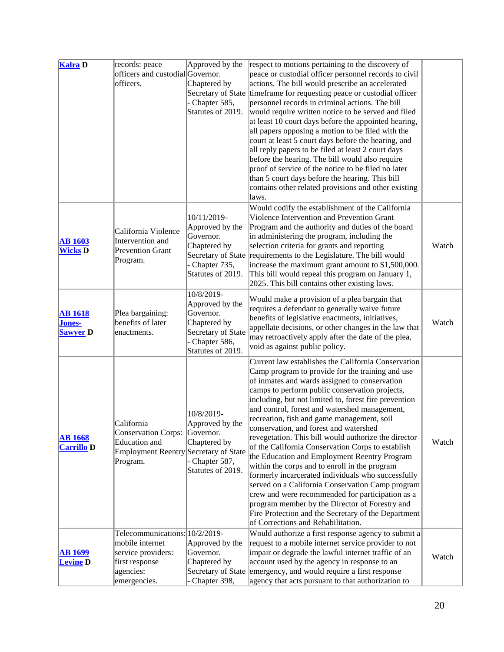| <b>Kalra</b> D                              | records: peace<br>officers and custodial Governor.<br>lofficers.                                                       | Approved by the<br>Chaptered by<br>Secretary of State<br>- Chapter 585,<br>Statutes of 2019.                            | respect to motions pertaining to the discovery of<br>peace or custodial officer personnel records to civil<br>actions. The bill would prescribe an accelerated<br>timeframe for requesting peace or custodial officer<br>personnel records in criminal actions. The bill<br>would require written notice to be served and filed<br>at least 10 court days before the appointed hearing,<br>all papers opposing a motion to be filed with the<br>court at least 5 court days before the hearing, and<br>all reply papers to be filed at least 2 court days<br>before the hearing. The bill would also require<br>proof of service of the notice to be filed no later<br>than 5 court days before the hearing. This bill<br>contains other related provisions and other existing<br>laws.                                                                                                                                                 |       |
|---------------------------------------------|------------------------------------------------------------------------------------------------------------------------|-------------------------------------------------------------------------------------------------------------------------|-----------------------------------------------------------------------------------------------------------------------------------------------------------------------------------------------------------------------------------------------------------------------------------------------------------------------------------------------------------------------------------------------------------------------------------------------------------------------------------------------------------------------------------------------------------------------------------------------------------------------------------------------------------------------------------------------------------------------------------------------------------------------------------------------------------------------------------------------------------------------------------------------------------------------------------------|-------|
| <b>AB 1603</b><br><b>Wicks D</b>            | California Violence<br>Intervention and<br><b>Prevention Grant</b><br>Program.                                         | 10/11/2019-<br>Approved by the<br>Governor.<br>Chaptered by<br>- Chapter 735,<br>Statutes of 2019.                      | Would codify the establishment of the California<br>Violence Intervention and Prevention Grant<br>Program and the authority and duties of the board<br>in administering the program, including the<br>selection criteria for grants and reporting<br>Secretary of State requirements to the Legislature. The bill would<br>increase the maximum grant amount to \$1,500,000.<br>This bill would repeal this program on January 1,<br>2025. This bill contains other existing laws.                                                                                                                                                                                                                                                                                                                                                                                                                                                      | Watch |
| <b>AB</b> 1618<br>Jones-<br><b>Sawyer</b> D | Plea bargaining:<br>benefits of later<br>enactments.                                                                   | 10/8/2019-<br>Approved by the<br>Governor.<br>Chaptered by<br>Secretary of State<br>- Chapter 586,<br>Statutes of 2019. | Would make a provision of a plea bargain that<br>requires a defendant to generally waive future<br>benefits of legislative enactments, initiatives,<br>appellate decisions, or other changes in the law that<br>may retroactively apply after the date of the plea,<br>void as against public policy.                                                                                                                                                                                                                                                                                                                                                                                                                                                                                                                                                                                                                                   | Watch |
| <b>AB 1668</b><br><b>Carrillo D</b>         | California<br>Conservation Corps: Governor.<br>Education and<br>Employment Reentry Secretary of State<br>Program.      | 10/8/2019-<br>Approved by the<br>Chaptered by<br>Chapter 587,<br>Statutes of 2019.                                      | Current law establishes the California Conservation<br>Camp program to provide for the training and use<br>of inmates and wards assigned to conservation<br>camps to perform public conservation projects,<br>including, but not limited to, forest fire prevention<br>and control, forest and watershed management,<br>recreation, fish and game management, soil<br>conservation, and forest and watershed<br>revegetation. This bill would authorize the director<br>of the California Conservation Corps to establish<br>the Education and Employment Reentry Program<br>within the corps and to enroll in the program<br>formerly incarcerated individuals who successfully<br>served on a California Conservation Camp program<br>crew and were recommended for participation as a<br>program member by the Director of Forestry and<br>Fire Protection and the Secretary of the Department<br>of Corrections and Rehabilitation. | Watch |
| <b>AB 1699</b><br><b>Levine D</b>           | Telecommunications: 10/2/2019-<br>mobile internet<br>service providers:<br>first response<br>agencies:<br>emergencies. | Approved by the<br>Governor.<br>Chaptered by<br>Chapter 398,                                                            | Would authorize a first response agency to submit a<br>request to a mobile internet service provider to not<br>impair or degrade the lawful internet traffic of an<br>account used by the agency in response to an<br>Secretary of State emergency, and would require a first response<br>agency that acts pursuant to that authorization to                                                                                                                                                                                                                                                                                                                                                                                                                                                                                                                                                                                            | Watch |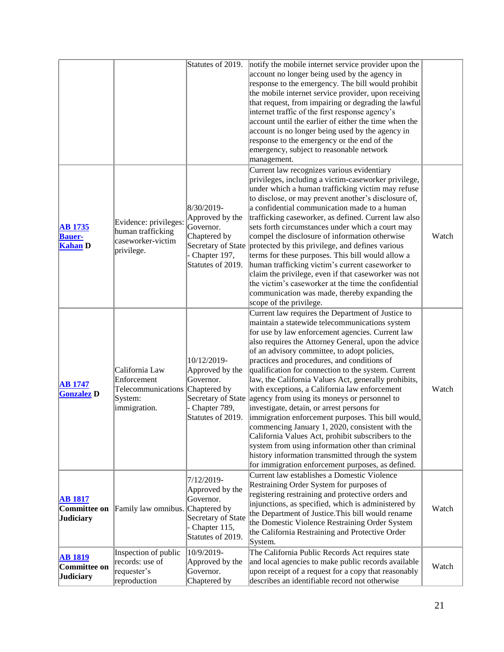|                                                    |                                                                                             | Statutes of 2019.                                                                                       | notify the mobile internet service provider upon the<br>account no longer being used by the agency in<br>response to the emergency. The bill would prohibit<br>the mobile internet service provider, upon receiving<br>that request, from impairing or degrading the lawful<br>internet traffic of the first response agency's<br>account until the earlier of either the time when the<br>account is no longer being used by the agency in<br>response to the emergency or the end of the<br>emergency, subject to reasonable network<br>management.                                                                                                                                                                                                                                                                                                                                                                         |       |
|----------------------------------------------------|---------------------------------------------------------------------------------------------|---------------------------------------------------------------------------------------------------------|-------------------------------------------------------------------------------------------------------------------------------------------------------------------------------------------------------------------------------------------------------------------------------------------------------------------------------------------------------------------------------------------------------------------------------------------------------------------------------------------------------------------------------------------------------------------------------------------------------------------------------------------------------------------------------------------------------------------------------------------------------------------------------------------------------------------------------------------------------------------------------------------------------------------------------|-------|
| <b>AB</b> 1735<br><b>Bauer-</b><br><b>Kahan D</b>  | Evidence: privileges:<br>human trafficking<br>caseworker-victim<br>privilege.               | 8/30/2019-<br>Approved by the<br>Governor.<br>Chaptered by<br>- Chapter 197,<br>Statutes of 2019.       | Current law recognizes various evidentiary<br>privileges, including a victim-caseworker privilege,<br>under which a human trafficking victim may refuse<br>to disclose, or may prevent another's disclosure of,<br>a confidential communication made to a human<br>trafficking caseworker, as defined. Current law also<br>sets forth circumstances under which a court may<br>compel the disclosure of information otherwise<br>Secretary of State protected by this privilege, and defines various<br>terms for these purposes. This bill would allow a<br>human trafficking victim's current caseworker to<br>claim the privilege, even if that caseworker was not<br>the victim's caseworker at the time the confidential<br>communication was made, thereby expanding the<br>scope of the privilege.                                                                                                                     | Watch |
| <b>AB</b> 1747<br><b>Gonzalez</b> D                | California Law<br>Enforcement<br>Telecommunications Chaptered by<br>System:<br>immigration. | 10/12/2019-<br>Approved by the<br>Governor.<br>- Chapter 789,<br>Statutes of 2019.                      | Current law requires the Department of Justice to<br>maintain a statewide telecommunications system<br>for use by law enforcement agencies. Current law<br>also requires the Attorney General, upon the advice<br>of an advisory committee, to adopt policies,<br>practices and procedures, and conditions of<br>qualification for connection to the system. Current<br>law, the California Values Act, generally prohibits,<br>with exceptions, a California law enforcement<br>Secretary of State agency from using its moneys or personnel to<br>investigate, detain, or arrest persons for<br>immigration enforcement purposes. This bill would,<br>commencing January 1, 2020, consistent with the<br>California Values Act, prohibit subscribers to the<br>system from using information other than criminal<br>history information transmitted through the system<br>for immigration enforcement purposes, as defined. | Watch |
| <b>AB 1817</b><br>Committee on<br><b>Judiciary</b> | Family law omnibus. Chaptered by                                                            | 7/12/2019-<br>Approved by the<br>Governor.<br>Secretary of State<br>- Chapter 115,<br>Statutes of 2019. | Current law establishes a Domestic Violence<br>Restraining Order System for purposes of<br>registering restraining and protective orders and<br>injunctions, as specified, which is administered by<br>the Department of Justice. This bill would rename<br>the Domestic Violence Restraining Order System<br>the California Restraining and Protective Order<br>System.                                                                                                                                                                                                                                                                                                                                                                                                                                                                                                                                                      | Watch |
| <b>AB 1819</b><br>Committee on<br><b>Judiciary</b> | Inspection of public<br>records: use of<br>requester's<br>reproduction                      | 10/9/2019-<br>Approved by the<br>Governor.<br>Chaptered by                                              | The California Public Records Act requires state<br>and local agencies to make public records available<br>upon receipt of a request for a copy that reasonably<br>describes an identifiable record not otherwise                                                                                                                                                                                                                                                                                                                                                                                                                                                                                                                                                                                                                                                                                                             | Watch |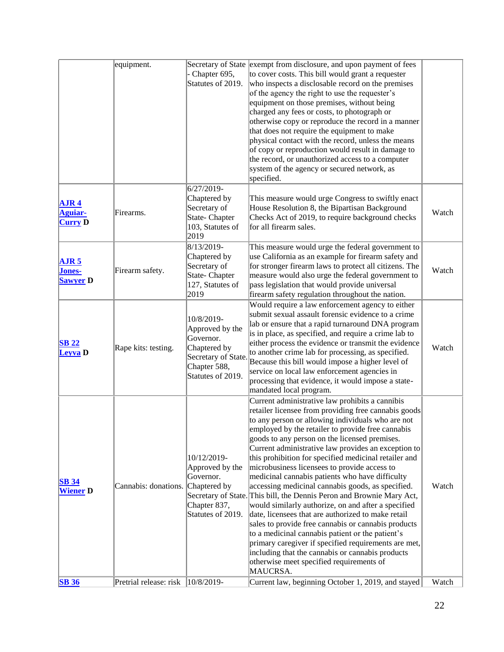|                                                      | equipment.                        | Chapter 695,<br>Statutes of 2019.                                                                                      | Secretary of State exempt from disclosure, and upon payment of fees<br>to cover costs. This bill would grant a requester<br>who inspects a disclosable record on the premises<br>of the agency the right to use the requester's<br>equipment on those premises, without being<br>charged any fees or costs, to photograph or<br>otherwise copy or reproduce the record in a manner<br>that does not require the equipment to make<br>physical contact with the record, unless the means<br>of copy or reproduction would result in damage to<br>the record, or unauthorized access to a computer<br>system of the agency or secured network, as<br>specified.                                                                                                                                                                                                                                                                                                                                                   |       |
|------------------------------------------------------|-----------------------------------|------------------------------------------------------------------------------------------------------------------------|-----------------------------------------------------------------------------------------------------------------------------------------------------------------------------------------------------------------------------------------------------------------------------------------------------------------------------------------------------------------------------------------------------------------------------------------------------------------------------------------------------------------------------------------------------------------------------------------------------------------------------------------------------------------------------------------------------------------------------------------------------------------------------------------------------------------------------------------------------------------------------------------------------------------------------------------------------------------------------------------------------------------|-------|
| AJR <sub>4</sub><br><b>Aguiar-</b><br><b>Curry D</b> | Firearms.                         | 6/27/2019-<br>Chaptered by<br>Secretary of<br>State-Chapter<br>103, Statutes of<br>2019                                | This measure would urge Congress to swiftly enact<br>House Resolution 8, the Bipartisan Background<br>Checks Act of 2019, to require background checks<br>for all firearm sales.                                                                                                                                                                                                                                                                                                                                                                                                                                                                                                                                                                                                                                                                                                                                                                                                                                | Watch |
| <b>AJR 5</b><br><b>Jones-</b><br><b>Sawyer</b> D     | Firearm safety.                   | 8/13/2019-<br>Chaptered by<br>Secretary of<br>State- Chapter<br>127, Statutes of<br>2019                               | This measure would urge the federal government to<br>use California as an example for firearm safety and<br>for stronger firearm laws to protect all citizens. The<br>measure would also urge the federal government to<br>pass legislation that would provide universal<br>firearm safety regulation throughout the nation.                                                                                                                                                                                                                                                                                                                                                                                                                                                                                                                                                                                                                                                                                    | Watch |
| <b>SB 22</b><br>Leyva <sub>D</sub>                   | Rape kits: testing.               | 10/8/2019-<br>Approved by the<br>Governor.<br>Chaptered by<br>Secretary of State.<br>Chapter 588,<br>Statutes of 2019. | Would require a law enforcement agency to either<br>submit sexual assault forensic evidence to a crime<br>lab or ensure that a rapid turnaround DNA program<br>is in place, as specified, and require a crime lab to<br>either process the evidence or transmit the evidence<br>to another crime lab for processing, as specified.<br>Because this bill would impose a higher level of<br>service on local law enforcement agencies in<br>processing that evidence, it would impose a state-<br>mandated local program.                                                                                                                                                                                                                                                                                                                                                                                                                                                                                         | Watch |
| <b>SB 34</b><br><b>Wiener D</b>                      | Cannabis: donations. Chaptered by | 10/12/2019-<br>Approved by the<br>Governor.<br>Chapter 837,<br>Statutes of 2019.                                       | Current administrative law prohibits a cannibis<br>retailer licensee from providing free cannabis goods<br>to any person or allowing individuals who are not<br>employed by the retailer to provide free cannabis<br>goods to any person on the licensed premises.<br>Current administrative law provides an exception to<br>this prohibition for specified medicinal retailer and<br>microbusiness licensees to provide access to<br>medicinal cannabis patients who have difficulty<br>accessing medicinal cannabis goods, as specified.<br>Secretary of State. This bill, the Dennis Peron and Brownie Mary Act,<br>would similarly authorize, on and after a specified<br>date, licensees that are authorized to make retail<br>sales to provide free cannabis or cannabis products<br>to a medicinal cannabis patient or the patient's<br>primary caregiver if specified requirements are met,<br>including that the cannabis or cannabis products<br>otherwise meet specified requirements of<br>MAUCRSA. | Watch |
| <b>SB 36</b>                                         | Pretrial release: risk            | $ 10/8/2019 -$                                                                                                         | Current law, beginning October 1, 2019, and stayed                                                                                                                                                                                                                                                                                                                                                                                                                                                                                                                                                                                                                                                                                                                                                                                                                                                                                                                                                              | Watch |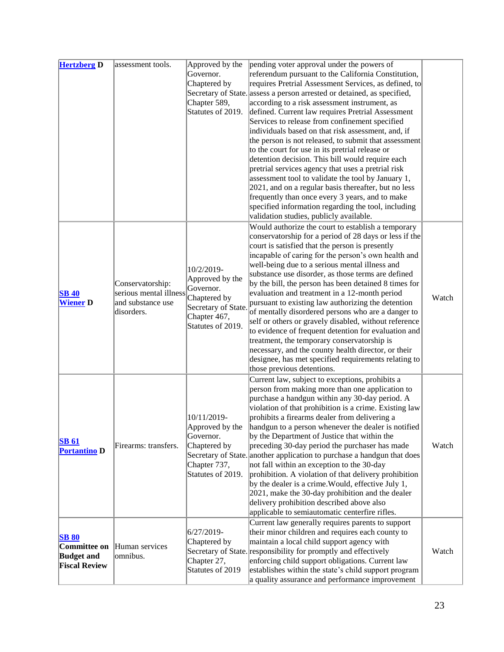| <b>Hertzberg D</b>                                                               | assessment tools.                                                             | Approved by the<br>Governor.<br>Chaptered by<br>Chapter 589,<br>Statutes of 2019.                                      | pending voter approval under the powers of<br>referendum pursuant to the California Constitution,<br>requires Pretrial Assessment Services, as defined, to<br>Secretary of State. assess a person arrested or detained, as specified,<br>according to a risk assessment instrument, as<br>defined. Current law requires Pretrial Assessment<br>Services to release from confinement specified<br>individuals based on that risk assessment, and, if<br>the person is not released, to submit that assessment<br>to the court for use in its pretrial release or<br>detention decision. This bill would require each<br>pretrial services agency that uses a pretrial risk<br>assessment tool to validate the tool by January 1,<br>2021, and on a regular basis thereafter, but no less<br>frequently than once every 3 years, and to make<br>specified information regarding the tool, including<br>validation studies, publicly available. |       |
|----------------------------------------------------------------------------------|-------------------------------------------------------------------------------|------------------------------------------------------------------------------------------------------------------------|----------------------------------------------------------------------------------------------------------------------------------------------------------------------------------------------------------------------------------------------------------------------------------------------------------------------------------------------------------------------------------------------------------------------------------------------------------------------------------------------------------------------------------------------------------------------------------------------------------------------------------------------------------------------------------------------------------------------------------------------------------------------------------------------------------------------------------------------------------------------------------------------------------------------------------------------|-------|
| <b>SB 40</b><br><b>Wiener D</b>                                                  | Conservatorship:<br>serious mental illness<br>and substance use<br>disorders. | 10/2/2019-<br>Approved by the<br>Governor.<br>Chaptered by<br>Secretary of State.<br>Chapter 467,<br>Statutes of 2019. | Would authorize the court to establish a temporary<br>conservatorship for a period of 28 days or less if the<br>court is satisfied that the person is presently<br>incapable of caring for the person's own health and<br>well-being due to a serious mental illness and<br>substance use disorder, as those terms are defined<br>by the bill, the person has been detained 8 times for<br>evaluation and treatment in a 12-month period<br>pursuant to existing law authorizing the detention<br>of mentally disordered persons who are a danger to<br>self or others or gravely disabled, without reference<br>to evidence of frequent detention for evaluation and<br>treatment, the temporary conservatorship is<br>necessary, and the county health director, or their<br>designee, has met specified requirements relating to<br>those previous detentions.                                                                            | Watch |
| <b>SB 61</b><br><b>Portantino D</b>                                              | Firearms: transfers.                                                          | 10/11/2019-<br>Approved by the<br>Governor.<br>Chaptered by<br>Chapter 737,<br>Statutes of 2019.                       | Current law, subject to exceptions, prohibits a<br>person from making more than one application to<br>purchase a handgun within any 30-day period. A<br>violation of that prohibition is a crime. Existing law<br>prohibits a firearms dealer from delivering a<br>handgun to a person whenever the dealer is notified<br>by the Department of Justice that within the<br>preceding 30-day period the purchaser has made<br>Secretary of State. another application to purchase a handgun that does<br>not fall within an exception to the 30-day<br>prohibition. A violation of that delivery prohibition<br>by the dealer is a crime. Would, effective July 1,<br>$[2021,$ make the 30-day prohibition and the dealer<br>delivery prohibition described above also<br>applicable to semiautomatic centerfire rifles.                                                                                                                       | Watch |
| <b>SB 80</b><br><b>Committee on</b><br><b>Budget and</b><br><b>Fiscal Review</b> | Human services<br>omnibus.                                                    | 6/27/2019-<br>Chaptered by<br>Chapter 27,<br>Statutes of 2019                                                          | Current law generally requires parents to support<br>their minor children and requires each county to<br>maintain a local child support agency with<br>Secretary of State. responsibility for promptly and effectively<br>enforcing child support obligations. Current law<br>establishes within the state's child support program<br>a quality assurance and performance improvement                                                                                                                                                                                                                                                                                                                                                                                                                                                                                                                                                        | Watch |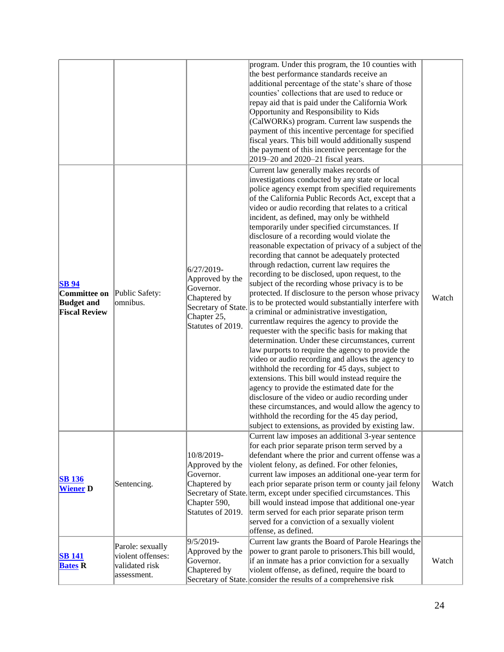|                                                                           |                                                                        |                                                                                                                       | program. Under this program, the 10 counties with<br>the best performance standards receive an<br>additional percentage of the state's share of those<br>counties' collections that are used to reduce or<br>repay aid that is paid under the California Work<br>Opportunity and Responsibility to Kids<br>(CalWORKs) program. Current law suspends the<br>payment of this incentive percentage for specified<br>fiscal years. This bill would additionally suspend<br>the payment of this incentive percentage for the<br>2019-20 and 2020-21 fiscal years.                                                                                                                                                                                                                                                                                                                                                                                                                                                                                                                                                                                                                                                                                                                                                                                                                                                                                                                        |       |
|---------------------------------------------------------------------------|------------------------------------------------------------------------|-----------------------------------------------------------------------------------------------------------------------|-------------------------------------------------------------------------------------------------------------------------------------------------------------------------------------------------------------------------------------------------------------------------------------------------------------------------------------------------------------------------------------------------------------------------------------------------------------------------------------------------------------------------------------------------------------------------------------------------------------------------------------------------------------------------------------------------------------------------------------------------------------------------------------------------------------------------------------------------------------------------------------------------------------------------------------------------------------------------------------------------------------------------------------------------------------------------------------------------------------------------------------------------------------------------------------------------------------------------------------------------------------------------------------------------------------------------------------------------------------------------------------------------------------------------------------------------------------------------------------|-------|
| <b>SB</b> 94<br>Committee on<br><b>Budget and</b><br><b>Fiscal Review</b> | Public Safety:<br>omnibus.                                             | 6/27/2019-<br>Approved by the<br>Governor.<br>Chaptered by<br>Secretary of State.<br>Chapter 25,<br>Statutes of 2019. | Current law generally makes records of<br>investigations conducted by any state or local<br>police agency exempt from specified requirements<br>of the California Public Records Act, except that a<br>video or audio recording that relates to a critical<br>incident, as defined, may only be withheld<br>temporarily under specified circumstances. If<br>disclosure of a recording would violate the<br>reasonable expectation of privacy of a subject of the<br>recording that cannot be adequately protected<br>through redaction, current law requires the<br>recording to be disclosed, upon request, to the<br>subject of the recording whose privacy is to be<br>protected. If disclosure to the person whose privacy<br>is to be protected would substantially interfere with<br>a criminal or administrative investigation,<br>currentlaw requires the agency to provide the<br>requester with the specific basis for making that<br>determination. Under these circumstances, current<br>law purports to require the agency to provide the<br>video or audio recording and allows the agency to<br>withhold the recording for 45 days, subject to<br>extensions. This bill would instead require the<br>agency to provide the estimated date for the<br>disclosure of the video or audio recording under<br>these circumstances, and would allow the agency to<br>withhold the recording for the 45 day period,<br>subject to extensions, as provided by existing law. | Watch |
| <b>SB 136</b><br><b>Wiener D</b>                                          | Sentencing.                                                            | 10/8/2019-<br>Approved by the<br>Governor.<br>Chaptered by<br>Chapter 590,<br>Statutes of 2019.                       | Current law imposes an additional 3-year sentence<br>for each prior separate prison term served by a<br>defendant where the prior and current offense was a<br>violent felony, as defined. For other felonies,<br>current law imposes an additional one-year term for<br>each prior separate prison term or county jail felony<br>Secretary of State. term, except under specified circumstances. This<br>bill would instead impose that additional one-year<br>term served for each prior separate prison term<br>served for a conviction of a sexually violent<br>offense, as defined.                                                                                                                                                                                                                                                                                                                                                                                                                                                                                                                                                                                                                                                                                                                                                                                                                                                                                            | Watch |
| <b>SB 141</b><br><b>Bates R</b>                                           | Parole: sexually<br>violent offenses:<br>validated risk<br>assessment. | 9/5/2019-<br>Approved by the<br>Governor.<br>Chaptered by                                                             | Current law grants the Board of Parole Hearings the<br>power to grant parole to prisoners. This bill would,<br>if an inmate has a prior conviction for a sexually<br>violent offense, as defined, require the board to<br>Secretary of State. consider the results of a comprehensive risk                                                                                                                                                                                                                                                                                                                                                                                                                                                                                                                                                                                                                                                                                                                                                                                                                                                                                                                                                                                                                                                                                                                                                                                          | Watch |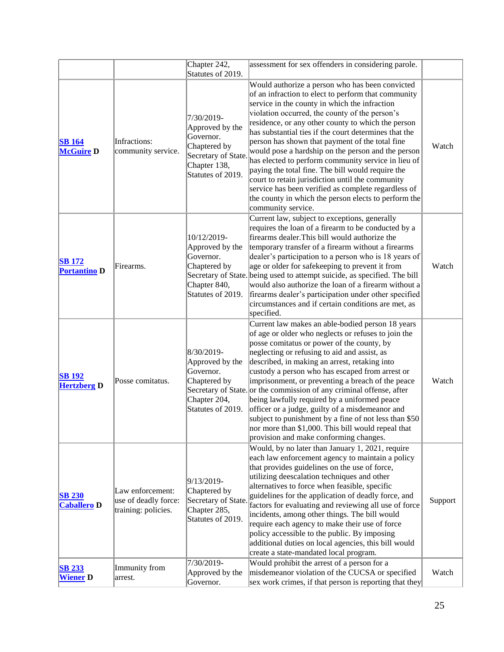|                                      |                                                                 | Chapter 242,<br>Statutes of 2019.                                                                                      | assessment for sex offenders in considering parole.                                                                                                                                                                                                                                                                                                                                                                                                                                                                                                                                                                                                                                                                                    |         |
|--------------------------------------|-----------------------------------------------------------------|------------------------------------------------------------------------------------------------------------------------|----------------------------------------------------------------------------------------------------------------------------------------------------------------------------------------------------------------------------------------------------------------------------------------------------------------------------------------------------------------------------------------------------------------------------------------------------------------------------------------------------------------------------------------------------------------------------------------------------------------------------------------------------------------------------------------------------------------------------------------|---------|
| <b>SB</b> 164<br><b>McGuire D</b>    | Infractions:<br>community service.                              | 7/30/2019-<br>Approved by the<br>Governor.<br>Chaptered by<br>Secretary of State.<br>Chapter 138,<br>Statutes of 2019. | Would authorize a person who has been convicted<br>of an infraction to elect to perform that community<br>service in the county in which the infraction<br>violation occurred, the county of the person's<br>residence, or any other county to which the person<br>has substantial ties if the court determines that the<br>person has shown that payment of the total fine<br>would pose a hardship on the person and the person<br>has elected to perform community service in lieu of<br>paying the total fine. The bill would require the<br>court to retain jurisdiction until the community<br>service has been verified as complete regardless of<br>the county in which the person elects to perform the<br>community service. | Watch   |
| <b>SB</b> 172<br><b>Portantino D</b> | Firearms.                                                       | 10/12/2019-<br>Approved by the<br>Governor.<br>Chaptered by<br>Chapter 840,<br>Statutes of 2019.                       | Current law, subject to exceptions, generally<br>requires the loan of a firearm to be conducted by a<br>firearms dealer. This bill would authorize the<br>temporary transfer of a firearm without a firearms<br>dealer's participation to a person who is 18 years of<br>age or older for safekeeping to prevent it from<br>Secretary of State. being used to attempt suicide, as specified. The bill<br>would also authorize the loan of a firearm without a<br>firearms dealer's participation under other specified<br>circumstances and if certain conditions are met, as<br>specified.                                                                                                                                            | Watch   |
| <b>SB 192</b><br><b>Hertzberg D</b>  | Posse comitatus.                                                | 8/30/2019-<br>Approved by the<br>Governor.<br>Chaptered by<br>Chapter 204,<br>Statutes of 2019.                        | Current law makes an able-bodied person 18 years<br>of age or older who neglects or refuses to join the<br>posse comitatus or power of the county, by<br>neglecting or refusing to aid and assist, as<br>described, in making an arrest, retaking into<br>custody a person who has escaped from arrest or<br>imprisonment, or preventing a breach of the peace<br>Secretary of State. or the commission of any criminal offense, after<br>being lawfully required by a uniformed peace<br>officer or a judge, guilty of a misdemeanor and<br>subject to punishment by a fine of not less than \$50<br>nor more than \$1,000. This bill would repeal that<br>provision and make conforming changes.                                     | Watch   |
| <b>SB 230</b><br><b>Caballero D</b>  | Law enforcement:<br>use of deadly force:<br>training: policies. | 9/13/2019-<br>Chaptered by<br>Secretary of State.<br>Chapter 285,<br>Statutes of 2019.                                 | Would, by no later than January 1, 2021, require<br>each law enforcement agency to maintain a policy<br>that provides guidelines on the use of force,<br>utilizing deescalation techniques and other<br>alternatives to force when feasible, specific<br>guidelines for the application of deadly force, and<br>factors for evaluating and reviewing all use of force<br>incidents, among other things. The bill would<br>require each agency to make their use of force<br>policy accessible to the public. By imposing<br>additional duties on local agencies, this bill would<br>create a state-mandated local program.                                                                                                             | Support |
| <b>SB 233</b><br><b>Wiener</b> D     | Immunity from<br>arrest.                                        | 7/30/2019-<br>Approved by the<br>Governor.                                                                             | Would prohibit the arrest of a person for a<br>misdemeanor violation of the CUCSA or specified<br>sex work crimes, if that person is reporting that they                                                                                                                                                                                                                                                                                                                                                                                                                                                                                                                                                                               | Watch   |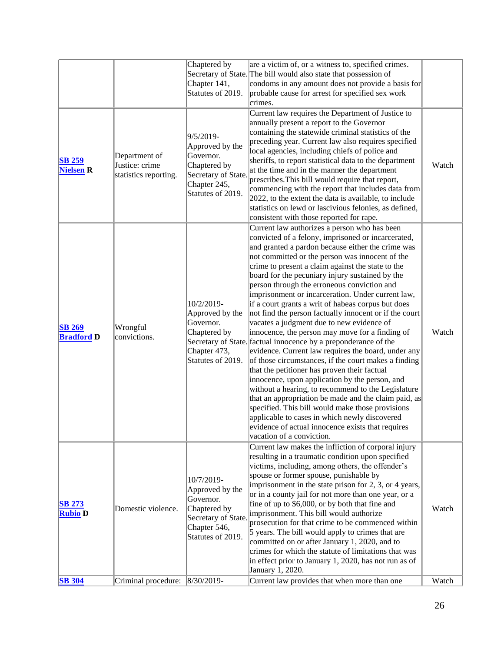|                                    |                                                          | Chaptered by<br>Chapter 141,<br>Statutes of 2019.                                                                      | are a victim of, or a witness to, specified crimes.<br>Secretary of State. The bill would also state that possession of<br>condoms in any amount does not provide a basis for<br>probable cause for arrest for specified sex work<br>crimes.                                                                                                                                                                                                                                                                                                                                                                                                                                                                                                                                                                                                                                                                                                                                                                                                                                                                                                                                                                                    |       |
|------------------------------------|----------------------------------------------------------|------------------------------------------------------------------------------------------------------------------------|---------------------------------------------------------------------------------------------------------------------------------------------------------------------------------------------------------------------------------------------------------------------------------------------------------------------------------------------------------------------------------------------------------------------------------------------------------------------------------------------------------------------------------------------------------------------------------------------------------------------------------------------------------------------------------------------------------------------------------------------------------------------------------------------------------------------------------------------------------------------------------------------------------------------------------------------------------------------------------------------------------------------------------------------------------------------------------------------------------------------------------------------------------------------------------------------------------------------------------|-------|
| <b>SB 259</b><br><b>Nielsen R</b>  | Department of<br>Justice: crime<br>statistics reporting. | 9/5/2019-<br>Approved by the<br>Governor.<br>Chaptered by<br>Secretary of State.<br>Chapter 245,<br>Statutes of 2019.  | Current law requires the Department of Justice to<br>annually present a report to the Governor<br>containing the statewide criminal statistics of the<br>preceding year. Current law also requires specified<br>local agencies, including chiefs of police and<br>sheriffs, to report statistical data to the department<br>at the time and in the manner the department<br>prescribes. This bill would require that report,<br>commencing with the report that includes data from<br>$[2022]$ , to the extent the data is available, to include<br>statistics on lewd or lascivious felonies, as defined,<br>consistent with those reported for rape.                                                                                                                                                                                                                                                                                                                                                                                                                                                                                                                                                                          | Watch |
| <b>SB 269</b><br><b>Bradford D</b> | Wrongful<br>convictions.                                 | 10/2/2019-<br>Approved by the<br>Governor.<br>Chaptered by<br>Chapter 473,<br>Statutes of 2019.                        | Current law authorizes a person who has been<br>convicted of a felony, imprisoned or incarcerated,<br>and granted a pardon because either the crime was<br>not committed or the person was innocent of the<br>crime to present a claim against the state to the<br>board for the pecuniary injury sustained by the<br>person through the erroneous conviction and<br>imprisonment or incarceration. Under current law,<br>if a court grants a writ of habeas corpus but does<br>not find the person factually innocent or if the court<br>vacates a judgment due to new evidence of<br>innocence, the person may move for a finding of<br>Secretary of State. factual innocence by a preponderance of the<br>evidence. Current law requires the board, under any<br>of those circumstances, if the court makes a finding<br>that the petitioner has proven their factual<br>innocence, upon application by the person, and<br>without a hearing, to recommend to the Legislature<br>that an appropriation be made and the claim paid, as<br>specified. This bill would make those provisions<br>applicable to cases in which newly discovered<br>evidence of actual innocence exists that requires<br>vacation of a conviction. | Watch |
| <b>SB 273</b><br><b>Rubio D</b>    | Domestic violence.                                       | 10/7/2019-<br>Approved by the<br>Governor.<br>Chaptered by<br>Secretary of State.<br>Chapter 546,<br>Statutes of 2019. | Current law makes the infliction of corporal injury<br>resulting in a traumatic condition upon specified<br>victims, including, among others, the offender's<br>spouse or former spouse, punishable by<br>imprisonment in the state prison for $2$ , $3$ , or $4$ years,<br>or in a county jail for not more than one year, or a<br>fine of up to \$6,000, or by both that fine and<br>imprisonment. This bill would authorize<br>prosecution for that crime to be commenced within<br>5 years. The bill would apply to crimes that are<br>committed on or after January 1, 2020, and to<br>crimes for which the statute of limitations that was<br>in effect prior to January 1, 2020, has not run as of<br>January 1, 2020.                                                                                                                                                                                                                                                                                                                                                                                                                                                                                                   | Watch |
| <b>SB</b> 304                      | Criminal procedure:                                      | $ 8/30/2019 -$                                                                                                         | Current law provides that when more than one                                                                                                                                                                                                                                                                                                                                                                                                                                                                                                                                                                                                                                                                                                                                                                                                                                                                                                                                                                                                                                                                                                                                                                                    | Watch |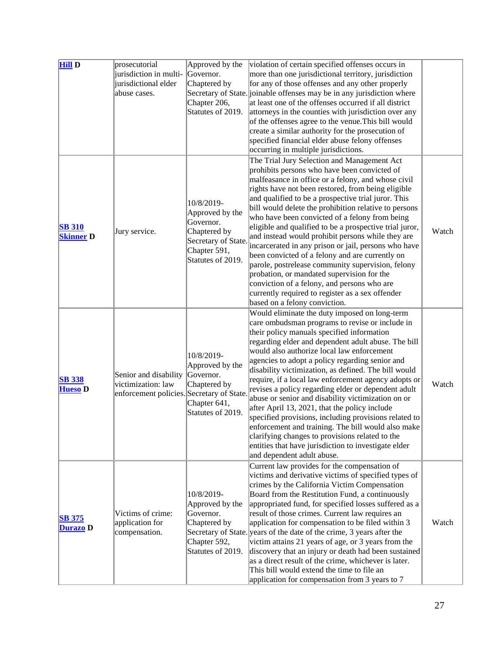| <b>Hill D</b>    | prosecutorial                               | Approved by the              | violation of certain specified offenses occurs in                                                       |       |
|------------------|---------------------------------------------|------------------------------|---------------------------------------------------------------------------------------------------------|-------|
|                  | jurisdiction in multi-                      | Governor.                    | more than one jurisdictional territory, jurisdiction                                                    |       |
|                  | jurisdictional elder                        | Chaptered by                 | for any of those offenses and any other properly                                                        |       |
|                  | abuse cases.                                |                              | Secretary of State. joinable offenses may be in any jurisdiction where                                  |       |
|                  |                                             | Chapter 206,                 | at least one of the offenses occurred if all district                                                   |       |
|                  |                                             | Statutes of 2019.            | attorneys in the counties with jurisdiction over any                                                    |       |
|                  |                                             |                              | of the offenses agree to the venue. This bill would                                                     |       |
|                  |                                             |                              | create a similar authority for the prosecution of                                                       |       |
|                  |                                             |                              | specified financial elder abuse felony offenses                                                         |       |
|                  |                                             |                              | occurring in multiple jurisdictions.                                                                    |       |
|                  |                                             |                              | The Trial Jury Selection and Management Act                                                             |       |
|                  |                                             |                              | prohibits persons who have been convicted of                                                            |       |
|                  |                                             |                              | malfeasance in office or a felony, and whose civil                                                      |       |
|                  |                                             |                              | rights have not been restored, from being eligible                                                      |       |
|                  |                                             | 10/8/2019-                   | and qualified to be a prospective trial juror. This                                                     |       |
|                  |                                             | Approved by the              | bill would delete the prohibition relative to persons                                                   |       |
|                  |                                             | Governor.                    | who have been convicted of a felony from being                                                          |       |
| <b>SB 310</b>    | Jury service.                               | Chaptered by                 | eligible and qualified to be a prospective trial juror,                                                 | Watch |
| <b>Skinner D</b> |                                             | Secretary of State.          | and instead would prohibit persons while they are                                                       |       |
|                  |                                             | Chapter 591,                 | incarcerated in any prison or jail, persons who have                                                    |       |
|                  |                                             | Statutes of 2019.            | been convicted of a felony and are currently on<br>parole, postrelease community supervision, felony    |       |
|                  |                                             |                              | probation, or mandated supervision for the                                                              |       |
|                  |                                             |                              | conviction of a felony, and persons who are                                                             |       |
|                  |                                             |                              | currently required to register as a sex offender                                                        |       |
|                  |                                             |                              | based on a felony conviction.                                                                           |       |
|                  |                                             |                              | Would eliminate the duty imposed on long-term                                                           |       |
|                  |                                             |                              | care ombudsman programs to revise or include in                                                         |       |
|                  |                                             |                              | their policy manuals specified information                                                              |       |
|                  |                                             |                              | regarding elder and dependent adult abuse. The bill                                                     |       |
|                  |                                             |                              | would also authorize local law enforcement                                                              |       |
|                  |                                             | 10/8/2019-                   | agencies to adopt a policy regarding senior and                                                         |       |
|                  |                                             | Approved by the<br>Governor. | disability victimization, as defined. The bill would                                                    |       |
| <b>SB 338</b>    | Senior and disability<br>victimization: law | Chaptered by                 | require, if a local law enforcement agency adopts or                                                    | Watch |
| <b>Hueso D</b>   | enforcement policies. Secretary of State.   |                              | revises a policy regarding elder or dependent adult                                                     |       |
|                  |                                             | Chapter 641,                 | abuse or senior and disability victimization on or                                                      |       |
|                  |                                             | Statutes of 2019.            | after April 13, 2021, that the policy include                                                           |       |
|                  |                                             |                              | specified provisions, including provisions related to                                                   |       |
|                  |                                             |                              | enforcement and training. The bill would also make                                                      |       |
|                  |                                             |                              | clarifying changes to provisions related to the<br>entities that have jurisdiction to investigate elder |       |
|                  |                                             |                              | and dependent adult abuse.                                                                              |       |
|                  |                                             |                              | Current law provides for the compensation of                                                            |       |
|                  |                                             |                              | victims and derivative victims of specified types of                                                    |       |
|                  |                                             |                              | crimes by the California Victim Compensation                                                            |       |
|                  |                                             | 10/8/2019-                   | Board from the Restitution Fund, a continuously                                                         |       |
|                  |                                             | Approved by the              | appropriated fund, for specified losses suffered as a                                                   |       |
|                  | Victims of crime:                           | Governor.                    | result of those crimes. Current law requires an                                                         |       |
| <b>SB 375</b>    | application for                             | Chaptered by                 | application for compensation to be filed within 3                                                       | Watch |
| Durazo D         | compensation.                               |                              | Secretary of State. years of the date of the crime, 3 years after the                                   |       |
|                  |                                             | Chapter 592,                 | victim attains 21 years of age, or 3 years from the                                                     |       |
|                  |                                             | Statutes of 2019.            | discovery that an injury or death had been sustained                                                    |       |
|                  |                                             |                              | as a direct result of the crime, whichever is later.                                                    |       |
|                  |                                             |                              | This bill would extend the time to file an                                                              |       |
|                  |                                             |                              | application for compensation from 3 years to 7                                                          |       |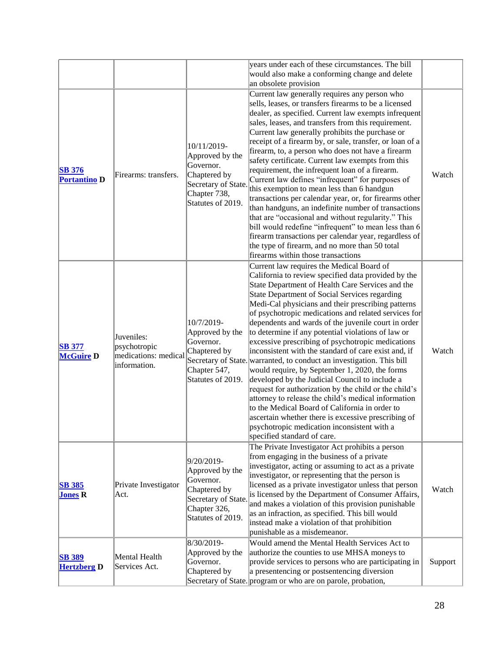|                                      |                                                                    |                                                                                                                         | years under each of these circumstances. The bill<br>would also make a conforming change and delete<br>an obsolete provision                                                                                                                                                                                                                                                                                                                                                                                                                                                                                                                                                                                                                                                                                                                                                                                                                                                                                                      |         |
|--------------------------------------|--------------------------------------------------------------------|-------------------------------------------------------------------------------------------------------------------------|-----------------------------------------------------------------------------------------------------------------------------------------------------------------------------------------------------------------------------------------------------------------------------------------------------------------------------------------------------------------------------------------------------------------------------------------------------------------------------------------------------------------------------------------------------------------------------------------------------------------------------------------------------------------------------------------------------------------------------------------------------------------------------------------------------------------------------------------------------------------------------------------------------------------------------------------------------------------------------------------------------------------------------------|---------|
| <b>SB 376</b><br><b>Portantino D</b> | Firearms: transfers.                                               | 10/11/2019-<br>Approved by the<br>Governor.<br>Chaptered by<br>Secretary of State.<br>Chapter 738,<br>Statutes of 2019. | Current law generally requires any person who<br>sells, leases, or transfers firearms to be a licensed<br>dealer, as specified. Current law exempts infrequent<br>sales, leases, and transfers from this requirement.<br>Current law generally prohibits the purchase or<br>receipt of a firearm by, or sale, transfer, or loan of a<br>firearm, to, a person who does not have a firearm<br>safety certificate. Current law exempts from this<br>requirement, the infrequent loan of a firearm.<br>Current law defines "infrequent" for purposes of<br>this exemption to mean less than 6 handgun<br>transactions per calendar year, or, for firearms other<br>than handguns, an indefinite number of transactions<br>that are "occasional and without regularity." This<br>bill would redefine "infrequent" to mean less than 6<br>firearm transactions per calendar year, regardless of<br>the type of firearm, and no more than 50 total<br>firearms within those transactions                                                | Watch   |
| <b>SB 377</b><br><b>McGuire D</b>    | Juveniles:<br>psychotropic<br>medications: medical<br>information. | 10/7/2019-<br>Approved by the<br>Governor.<br>Chaptered by<br>Chapter 547,<br>Statutes of 2019.                         | Current law requires the Medical Board of<br>California to review specified data provided by the<br>State Department of Health Care Services and the<br>State Department of Social Services regarding<br>Medi-Cal physicians and their prescribing patterns<br>of psychotropic medications and related services for<br>dependents and wards of the juvenile court in order<br>to determine if any potential violations of law or<br>excessive prescribing of psychotropic medications<br>inconsistent with the standard of care exist and, if<br>Secretary of State. warranted, to conduct an investigation. This bill<br>would require, by September 1, 2020, the forms<br>developed by the Judicial Council to include a<br>request for authorization by the child or the child's<br>attorney to release the child's medical information<br>to the Medical Board of California in order to<br>ascertain whether there is excessive prescribing of<br>psychotropic medication inconsistent with a<br>specified standard of care. | Watch   |
| <b>SB 385</b><br><b>Jones R</b>      | Private Investigator<br>Act.                                       | 9/20/2019-<br>Approved by the<br>Governor.<br>Chaptered by<br>Secretary of State.<br>Chapter 326,<br>Statutes of 2019.  | The Private Investigator Act prohibits a person<br>from engaging in the business of a private<br>investigator, acting or assuming to act as a private<br>investigator, or representing that the person is<br>licensed as a private investigator unless that person<br>is licensed by the Department of Consumer Affairs,<br>and makes a violation of this provision punishable<br>as an infraction, as specified. This bill would<br>instead make a violation of that prohibition<br>punishable as a misdemeanor.                                                                                                                                                                                                                                                                                                                                                                                                                                                                                                                 | Watch   |
| <b>SB 389</b><br><b>Hertzberg D</b>  | Mental Health<br>Services Act.                                     | 8/30/2019-<br>Approved by the<br>Governor.<br>Chaptered by                                                              | Would amend the Mental Health Services Act to<br>authorize the counties to use MHSA moneys to<br>provide services to persons who are participating in<br>a presentencing or postsentencing diversion<br>Secretary of State. program or who are on parole, probation,                                                                                                                                                                                                                                                                                                                                                                                                                                                                                                                                                                                                                                                                                                                                                              | Support |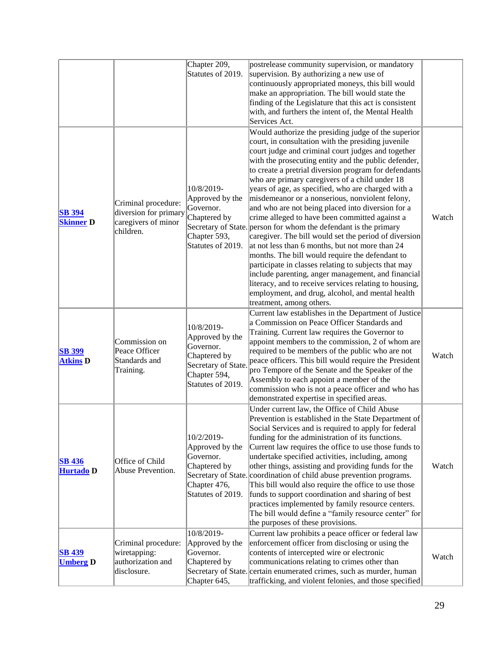|                                   |                                                                                  | Chapter 209,<br>Statutes of 2019.                                                                                      | postrelease community supervision, or mandatory<br>supervision. By authorizing a new use of<br>continuously appropriated moneys, this bill would<br>make an appropriation. The bill would state the<br>finding of the Legislature that this act is consistent<br>with, and furthers the intent of, the Mental Health<br>Services Act.                                                                                                                                                                                                                                                                                                                                                                                                                                                                                                                                                                                                                                                                                                         |       |
|-----------------------------------|----------------------------------------------------------------------------------|------------------------------------------------------------------------------------------------------------------------|-----------------------------------------------------------------------------------------------------------------------------------------------------------------------------------------------------------------------------------------------------------------------------------------------------------------------------------------------------------------------------------------------------------------------------------------------------------------------------------------------------------------------------------------------------------------------------------------------------------------------------------------------------------------------------------------------------------------------------------------------------------------------------------------------------------------------------------------------------------------------------------------------------------------------------------------------------------------------------------------------------------------------------------------------|-------|
| <b>SB</b> 394<br><b>Skinner D</b> | Criminal procedure:<br>diversion for primary<br>caregivers of minor<br>children. | 10/8/2019-<br>Approved by the<br>Governor.<br>Chaptered by<br>Chapter 593,<br>Statutes of 2019.                        | Would authorize the presiding judge of the superior<br>court, in consultation with the presiding juvenile<br>court judge and criminal court judges and together<br>with the prosecuting entity and the public defender,<br>to create a pretrial diversion program for defendants<br>who are primary caregivers of a child under 18<br>years of age, as specified, who are charged with a<br>misdemeanor or a nonserious, nonviolent felony,<br>and who are not being placed into diversion for a<br>crime alleged to have been committed against a<br>Secretary of State. person for whom the defendant is the primary<br>caregiver. The bill would set the period of diversion<br>at not less than 6 months, but not more than 24<br>months. The bill would require the defendant to<br>participate in classes relating to subjects that may<br>include parenting, anger management, and financial<br>literacy, and to receive services relating to housing,<br>employment, and drug, alcohol, and mental health<br>treatment, among others. | Watch |
| <b>SB 399</b><br><b>Atkins D</b>  | Commission on<br>Peace Officer<br>Standards and<br>Training.                     | 10/8/2019-<br>Approved by the<br>Governor.<br>Chaptered by<br>Secretary of State.<br>Chapter 594,<br>Statutes of 2019. | Current law establishes in the Department of Justice<br>a Commission on Peace Officer Standards and<br>Training. Current law requires the Governor to<br>appoint members to the commission, 2 of whom are<br>required to be members of the public who are not<br>peace officers. This bill would require the President<br>pro Tempore of the Senate and the Speaker of the<br>Assembly to each appoint a member of the<br>commission who is not a peace officer and who has<br>demonstrated expertise in specified areas.                                                                                                                                                                                                                                                                                                                                                                                                                                                                                                                     | Watch |
| <b>SB 436</b><br>Hurtado D        | Office of Child<br>Abuse Prevention.                                             | 10/2/2019-<br>Approved by the<br>Governor.<br>Chaptered by<br>Chapter 476,<br>Statutes of 2019.                        | Under current law, the Office of Child Abuse<br>Prevention is established in the State Department of<br>Social Services and is required to apply for federal<br>funding for the administration of its functions.<br>Current law requires the office to use those funds to<br>undertake specified activities, including, among<br>other things, assisting and providing funds for the<br>Secretary of State. coordination of child abuse prevention programs.<br>This bill would also require the office to use those<br>funds to support coordination and sharing of best<br>practices implemented by family resource centers.<br>The bill would define a "family resource center" for<br>the purposes of these provisions.                                                                                                                                                                                                                                                                                                                   | Watch |
| <b>SB 439</b><br><b>Umberg D</b>  | Criminal procedure:<br>wiretapping:<br>authorization and<br>disclosure.          | 10/8/2019-<br>Approved by the<br>Governor.<br>Chaptered by<br>Chapter 645,                                             | Current law prohibits a peace officer or federal law<br>enforcement officer from disclosing or using the<br>contents of intercepted wire or electronic<br>communications relating to crimes other than<br>Secretary of State. certain enumerated crimes, such as murder, human<br>trafficking, and violent felonies, and those specified                                                                                                                                                                                                                                                                                                                                                                                                                                                                                                                                                                                                                                                                                                      | Watch |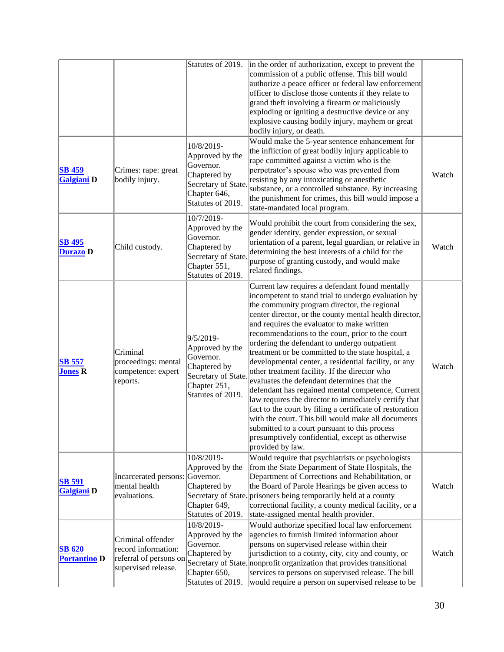|                                      |                                                                                           | Statutes of 2019.                                                                                                      | in the order of authorization, except to prevent the<br>commission of a public offense. This bill would<br>authorize a peace officer or federal law enforcement<br>officer to disclose those contents if they relate to<br>grand theft involving a firearm or maliciously<br>exploding or igniting a destructive device or any<br>explosive causing bodily injury, mayhem or great<br>bodily injury, or death.                                                                                                                                                                                                                                                                                                                                                                                                                                                                                                                           |       |
|--------------------------------------|-------------------------------------------------------------------------------------------|------------------------------------------------------------------------------------------------------------------------|------------------------------------------------------------------------------------------------------------------------------------------------------------------------------------------------------------------------------------------------------------------------------------------------------------------------------------------------------------------------------------------------------------------------------------------------------------------------------------------------------------------------------------------------------------------------------------------------------------------------------------------------------------------------------------------------------------------------------------------------------------------------------------------------------------------------------------------------------------------------------------------------------------------------------------------|-------|
| <b>SB 459</b><br><b>Galgiani D</b>   | Crimes: rape: great<br>bodily injury.                                                     | 10/8/2019-<br>Approved by the<br>Governor.<br>Chaptered by<br>Secretary of State.<br>Chapter 646,<br>Statutes of 2019. | Would make the 5-year sentence enhancement for<br>the infliction of great bodily injury applicable to<br>rape committed against a victim who is the<br>perpetrator's spouse who was prevented from<br>resisting by any intoxicating or anesthetic<br>substance, or a controlled substance. By increasing<br>the punishment for crimes, this bill would impose a<br>state-mandated local program.                                                                                                                                                                                                                                                                                                                                                                                                                                                                                                                                         | Watch |
| <b>SB 495</b><br><b>Durazo</b> D     | Child custody.                                                                            | 10/7/2019-<br>Approved by the<br>Governor.<br>Chaptered by<br>Secretary of State.<br>Chapter 551,<br>Statutes of 2019. | Would prohibit the court from considering the sex,<br>gender identity, gender expression, or sexual<br>orientation of a parent, legal guardian, or relative in<br>determining the best interests of a child for the<br>purpose of granting custody, and would make<br>related findings.                                                                                                                                                                                                                                                                                                                                                                                                                                                                                                                                                                                                                                                  | Watch |
| <b>SB 557</b><br><b>Jones R</b>      | Criminal<br>proceedings: mental<br>competence: expert<br>reports.                         | 9/5/2019-<br>Approved by the<br>Governor.<br>Chaptered by<br>Secretary of State.<br>Chapter 251,<br>Statutes of 2019.  | Current law requires a defendant found mentally<br>incompetent to stand trial to undergo evaluation by<br>the community program director, the regional<br>center director, or the county mental health director,<br>and requires the evaluator to make written<br>recommendations to the court, prior to the court<br>ordering the defendant to undergo outpatient<br>treatment or be committed to the state hospital, a<br>developmental center, a residential facility, or any<br>other treatment facility. If the director who<br>evaluates the defendant determines that the<br>defendant has regained mental competence, Current<br>law requires the director to immediately certify that<br>fact to the court by filing a certificate of restoration<br>with the court. This bill would make all documents<br>submitted to a court pursuant to this process<br>presumptively confidential, except as otherwise<br>provided by law. | Watch |
| <b>SB 591</b><br>Galgiani D          | Incarcerated persons: Governor.<br>mental health<br>evaluations.                          | 10/8/2019-<br>Approved by the<br>Chaptered by<br>Chapter 649,<br>Statutes of 2019.                                     | Would require that psychiatrists or psychologists<br>from the State Department of State Hospitals, the<br>Department of Corrections and Rehabilitation, or<br>the Board of Parole Hearings be given access to<br>Secretary of State. prisoners being temporarily held at a county<br>correctional facility, a county medical facility, or a<br>state-assigned mental health provider.                                                                                                                                                                                                                                                                                                                                                                                                                                                                                                                                                    | Watch |
| <b>SB 620</b><br><b>Portantino D</b> | Criminal offender<br>record information:<br>referral of persons on<br>supervised release. | 10/8/2019-<br>Approved by the<br>Governor.<br>Chaptered by<br>Chapter 650,<br>Statutes of 2019.                        | Would authorize specified local law enforcement<br>agencies to furnish limited information about<br>persons on supervised release within their<br>jurisdiction to a county, city, city and county, or<br>Secretary of State. nonprofit organization that provides transitional<br>services to persons on supervised release. The bill<br>would require a person on supervised release to be                                                                                                                                                                                                                                                                                                                                                                                                                                                                                                                                              | Watch |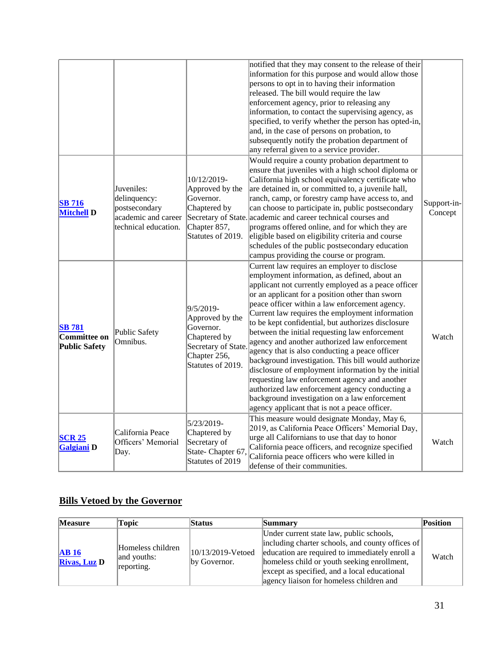|                                                       |                                                                                            |                                                                                                                       | notified that they may consent to the release of their<br>information for this purpose and would allow those<br>persons to opt in to having their information<br>released. The bill would require the law<br>enforcement agency, prior to releasing any<br>information, to contact the supervising agency, as<br>specified, to verify whether the person has opted-in,<br>and, in the case of persons on probation, to<br>subsequently notify the probation department of                                                                                                                                                                                                                                                                                                                                                                 |                        |
|-------------------------------------------------------|--------------------------------------------------------------------------------------------|-----------------------------------------------------------------------------------------------------------------------|-------------------------------------------------------------------------------------------------------------------------------------------------------------------------------------------------------------------------------------------------------------------------------------------------------------------------------------------------------------------------------------------------------------------------------------------------------------------------------------------------------------------------------------------------------------------------------------------------------------------------------------------------------------------------------------------------------------------------------------------------------------------------------------------------------------------------------------------|------------------------|
| <b>SB</b> 716<br><b>Mitchell D</b>                    | Juveniles:<br>delinquency:<br>postsecondary<br>academic and career<br>technical education. | 10/12/2019-<br>Approved by the<br>Governor.<br>Chaptered by<br>Chapter 857,<br>Statutes of 2019.                      | any referral given to a service provider.<br>Would require a county probation department to<br>ensure that juveniles with a high school diploma or<br>California high school equivalency certificate who<br>are detained in, or committed to, a juvenile hall,<br>ranch, camp, or forestry camp have access to, and<br>can choose to participate in, public postsecondary<br>Secretary of State. academic and career technical courses and<br>programs offered online, and for which they are<br>eligible based on eligibility criteria and course<br>schedules of the public postsecondary education<br>campus providing the course or program.                                                                                                                                                                                          | Support-in-<br>Concept |
| <b>SB 781</b><br>Committee on<br><b>Public Safety</b> | <b>Public Safety</b><br>Omnibus.                                                           | 9/5/2019-<br>Approved by the<br>Governor.<br>Chaptered by<br>Secretary of State.<br>Chapter 256,<br>Statutes of 2019. | Current law requires an employer to disclose<br>employment information, as defined, about an<br>applicant not currently employed as a peace officer<br>or an applicant for a position other than sworn<br>peace officer within a law enforcement agency.<br>Current law requires the employment information<br>to be kept confidential, but authorizes disclosure<br>between the initial requesting law enforcement<br>agency and another authorized law enforcement<br>agency that is also conducting a peace officer<br>background investigation. This bill would authorize<br>disclosure of employment information by the initial<br>requesting law enforcement agency and another<br>authorized law enforcement agency conducting a<br>background investigation on a law enforcement<br>agency applicant that is not a peace officer. | Watch                  |
| <b>SCR 25</b><br><b>Galgiani</b> D                    | California Peace<br>Officers' Memorial<br>Day.                                             | 5/23/2019-<br>Chaptered by<br>Secretary of<br>State- Chapter 67,<br>Statutes of 2019                                  | This measure would designate Monday, May 6,<br>2019, as California Peace Officers' Memorial Day,<br>urge all Californians to use that day to honor<br>California peace officers, and recognize specified<br>California peace officers who were killed in<br>defense of their communities.                                                                                                                                                                                                                                                                                                                                                                                                                                                                                                                                                 | Watch                  |

## **Bills Vetoed by the Governor**

| <b>Measure</b>              | <b>Topic</b>                                   | <b>Status</b>                     | Summary                                                                                                                                                                                                                                                                                   | Position |
|-----------------------------|------------------------------------------------|-----------------------------------|-------------------------------------------------------------------------------------------------------------------------------------------------------------------------------------------------------------------------------------------------------------------------------------------|----------|
| AB16<br><b>Rivas, Luz D</b> | Homeless children<br>and youths:<br>reporting. | 10/13/2019-Vetoed<br>by Governor. | Under current state law, public schools,<br>including charter schools, and county offices of<br>education are required to immediately enroll a<br>homeless child or youth seeking enrollment,<br>except as specified, and a local educational<br>agency liaison for homeless children and | Watch    |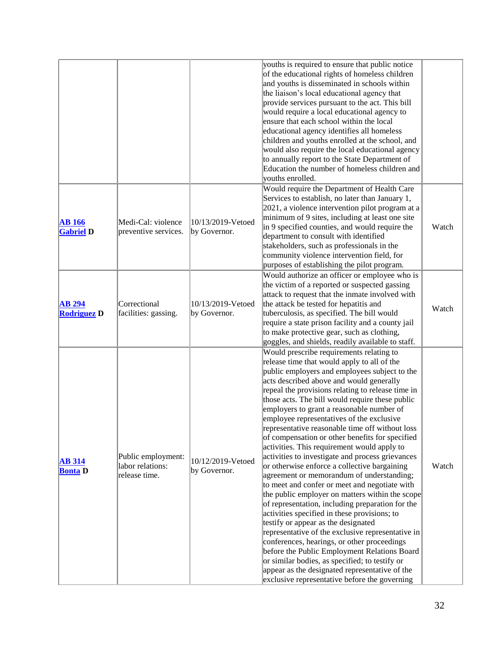|                                     |                                                         |                                   | youths is required to ensure that public notice<br>of the educational rights of homeless children<br>and youths is disseminated in schools within<br>the liaison's local educational agency that<br>provide services pursuant to the act. This bill<br>would require a local educational agency to<br>ensure that each school within the local<br>educational agency identifies all homeless<br>children and youths enrolled at the school, and<br>would also require the local educational agency<br>to annually report to the State Department of<br>Education the number of homeless children and<br>vouths enrolled.                                                                                                                                                                                                                                                                                                                                                                                                                                                                                                                                                                                                                             |       |
|-------------------------------------|---------------------------------------------------------|-----------------------------------|------------------------------------------------------------------------------------------------------------------------------------------------------------------------------------------------------------------------------------------------------------------------------------------------------------------------------------------------------------------------------------------------------------------------------------------------------------------------------------------------------------------------------------------------------------------------------------------------------------------------------------------------------------------------------------------------------------------------------------------------------------------------------------------------------------------------------------------------------------------------------------------------------------------------------------------------------------------------------------------------------------------------------------------------------------------------------------------------------------------------------------------------------------------------------------------------------------------------------------------------------|-------|
| <b>AB</b> 166<br><b>Gabriel D</b>   | Medi-Cal: violence<br>preventive services.              | 10/13/2019-Vetoed<br>by Governor. | Would require the Department of Health Care<br>Services to establish, no later than January 1,<br>2021, a violence intervention pilot program at a<br>minimum of 9 sites, including at least one site<br>in 9 specified counties, and would require the<br>department to consult with identified<br>stakeholders, such as professionals in the<br>community violence intervention field, for<br>purposes of establishing the pilot program.                                                                                                                                                                                                                                                                                                                                                                                                                                                                                                                                                                                                                                                                                                                                                                                                          | Watch |
| <b>AB 294</b><br><b>Rodriguez D</b> | Correctional<br>facilities: gassing.                    | 10/13/2019-Vetoed<br>by Governor. | Would authorize an officer or employee who is<br>the victim of a reported or suspected gassing<br>attack to request that the inmate involved with<br>the attack be tested for hepatitis and<br>tuberculosis, as specified. The bill would<br>require a state prison facility and a county jail<br>to make protective gear, such as clothing,<br>goggles, and shields, readily available to staff.                                                                                                                                                                                                                                                                                                                                                                                                                                                                                                                                                                                                                                                                                                                                                                                                                                                    | Watch |
| <b>AB 314</b><br><b>Bonta D</b>     | Public employment:<br>labor relations:<br>release time. | 10/12/2019-Vetoed<br>by Governor. | Would prescribe requirements relating to<br>release time that would apply to all of the<br>public employers and employees subject to the<br>acts described above and would generally<br>repeal the provisions relating to release time in<br>those acts. The bill would require these public<br>employers to grant a reasonable number of<br>employee representatives of the exclusive<br>representative reasonable time off without loss<br>of compensation or other benefits for specified<br>activities. This requirement would apply to<br>activities to investigate and process grievances<br>or otherwise enforce a collective bargaining<br>agreement or memorandum of understanding;<br>to meet and confer or meet and negotiate with<br>the public employer on matters within the scope<br>of representation, including preparation for the<br>activities specified in these provisions; to<br>testify or appear as the designated<br>representative of the exclusive representative in<br>conferences, hearings, or other proceedings<br>before the Public Employment Relations Board<br>or similar bodies, as specified; to testify or<br>appear as the designated representative of the<br>exclusive representative before the governing | Watch |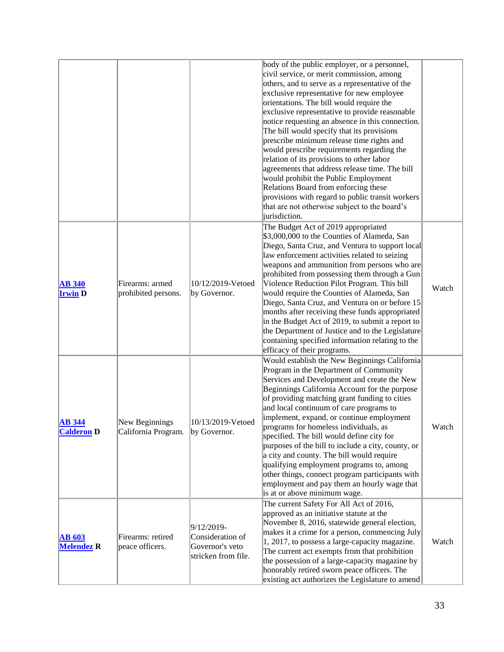|                                    |                                        |                                                                          | body of the public employer, or a personnel,<br>civil service, or merit commission, among<br>others, and to serve as a representative of the<br>exclusive representative for new employee<br>orientations. The bill would require the<br>exclusive representative to provide reasonable<br>notice requesting an absence in this connection.<br>The bill would specify that its provisions<br>prescribe minimum release time rights and<br>would prescribe requirements regarding the<br>relation of its provisions to other labor<br>agreements that address release time. The bill<br>would prohibit the Public Employment<br>Relations Board from enforcing these<br>provisions with regard to public transit workers<br>that are not otherwise subject to the board's<br>jurisdiction. |       |
|------------------------------------|----------------------------------------|--------------------------------------------------------------------------|-------------------------------------------------------------------------------------------------------------------------------------------------------------------------------------------------------------------------------------------------------------------------------------------------------------------------------------------------------------------------------------------------------------------------------------------------------------------------------------------------------------------------------------------------------------------------------------------------------------------------------------------------------------------------------------------------------------------------------------------------------------------------------------------|-------|
| <b>AB 340</b><br><b>Irwin D</b>    | Firearms: armed<br>prohibited persons. | 10/12/2019-Vetoed<br>by Governor.                                        | The Budget Act of 2019 appropriated<br>\$3,000,000 to the Counties of Alameda, San<br>Diego, Santa Cruz, and Ventura to support local<br>law enforcement activities related to seizing<br>weapons and ammunition from persons who are<br>prohibited from possessing them through a Gun<br>Violence Reduction Pilot Program. This bill<br>would require the Counties of Alameda, San<br>Diego, Santa Cruz, and Ventura on or before 15<br>months after receiving these funds appropriated<br>in the Budget Act of 2019, to submit a report to<br>the Department of Justice and to the Legislature<br>containing specified information relating to the<br>efficacy of their programs.                                                                                                       | Watch |
| <b>AB 344</b><br><b>Calderon</b> D | New Beginnings<br>California Program.  | 10/13/2019-Vetoed<br>by Governor.                                        | Would establish the New Beginnings California<br>Program in the Department of Community<br>Services and Development and create the New<br>Beginnings California Account for the purpose<br>of providing matching grant funding to cities<br>and local continuum of care programs to<br>implement, expand, or continue employment<br>programs for homeless individuals, as<br>specified. The bill would define city for<br>purposes of the bill to include a city, county, or<br>a city and county. The bill would require<br>qualifying employment programs to, among<br>other things, connect program participants with<br>employment and pay them an hourly wage that<br>is at or above minimum wage.                                                                                   | Watch |
| <b>AB 603</b><br><b>Melendez</b> R | Firearms: retired<br>peace officers.   | 9/12/2019-<br>Consideration of<br>Governor's veto<br>stricken from file. | The current Safety For All Act of 2016,<br>approved as an initiative statute at the<br>November 8, 2016, statewide general election,<br>makes it a crime for a person, commencing July<br>$ 1, 2017$ , to possess a large-capacity magazine.<br>The current act exempts from that prohibition<br>the possession of a large-capacity magazine by<br>honorably retired sworn peace officers. The<br>existing act authorizes the Legislature to amend                                                                                                                                                                                                                                                                                                                                        | Watch |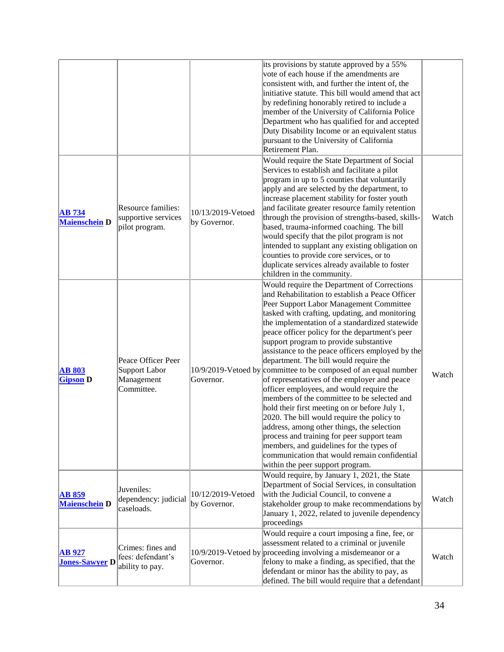|                                        |                                                                 |                                   | its provisions by statute approved by a 55%<br>vote of each house if the amendments are<br>consistent with, and further the intent of, the<br>initiative statute. This bill would amend that act<br>by redefining honorably retired to include a<br>member of the University of California Police<br>Department who has qualified for and accepted<br>Duty Disability Income or an equivalent status<br>pursuant to the University of California<br>Retirement Plan.                                                                                                                                                                                                                                                                                                                                                                                                                                                                                                             |       |
|----------------------------------------|-----------------------------------------------------------------|-----------------------------------|----------------------------------------------------------------------------------------------------------------------------------------------------------------------------------------------------------------------------------------------------------------------------------------------------------------------------------------------------------------------------------------------------------------------------------------------------------------------------------------------------------------------------------------------------------------------------------------------------------------------------------------------------------------------------------------------------------------------------------------------------------------------------------------------------------------------------------------------------------------------------------------------------------------------------------------------------------------------------------|-------|
| $AB$ 734<br><b>Maienschein D</b>       | Resource families:<br>supportive services<br>pilot program.     | 10/13/2019-Vetoed<br>by Governor. | Would require the State Department of Social<br>Services to establish and facilitate a pilot<br>program in up to 5 counties that voluntarily<br>apply and are selected by the department, to<br>increase placement stability for foster youth<br>and facilitate greater resource family retention<br>through the provision of strengths-based, skills-<br>based, trauma-informed coaching. The bill<br>would specify that the pilot program is not<br>intended to supplant any existing obligation on<br>counties to provide core services, or to<br>duplicate services already available to foster<br>children in the community.                                                                                                                                                                                                                                                                                                                                                | Watch |
| <b>AB 803</b><br><b>Gipson</b> D       | Peace Officer Peer<br>Support Labor<br>Management<br>Committee. | Governor.                         | Would require the Department of Corrections<br>and Rehabilitation to establish a Peace Officer<br>Peer Support Labor Management Committee<br>tasked with crafting, updating, and monitoring<br>the implementation of a standardized statewide<br>peace officer policy for the department's peer<br>support program to provide substantive<br>assistance to the peace officers employed by the<br>department. The bill would require the<br>10/9/2019-Vetoed by committee to be composed of an equal number<br>of representatives of the employer and peace<br>officer employees, and would require the<br>members of the committee to be selected and<br>hold their first meeting on or before July 1,<br>2020. The bill would require the policy to<br>address, among other things, the selection<br>process and training for peer support team<br>members, and guidelines for the types of<br>communication that would remain confidential<br>within the peer support program. | Watch |
| <b>AB 859</b><br><b>Maienschein D</b>  | Juveniles:<br>dependency: judicial<br>caseloads.                | 10/12/2019-Vetoed<br>by Governor. | Would require, by January 1, 2021, the State<br>Department of Social Services, in consultation<br>with the Judicial Council, to convene a<br>stakeholder group to make recommendations by<br>January 1, 2022, related to juvenile dependency<br>proceedings                                                                                                                                                                                                                                                                                                                                                                                                                                                                                                                                                                                                                                                                                                                      | Watch |
| <b>AB 927</b><br><b>Jones-Sawyer D</b> | Crimes: fines and<br>fees: defendant's<br>ability to pay.       | Governor.                         | Would require a court imposing a fine, fee, or<br>assessment related to a criminal or juvenile<br>10/9/2019-Vetoed by proceeding involving a misdemeanor or a<br>felony to make a finding, as specified, that the<br>defendant or minor has the ability to pay, as<br>defined. The bill would require that a defendant                                                                                                                                                                                                                                                                                                                                                                                                                                                                                                                                                                                                                                                           | Watch |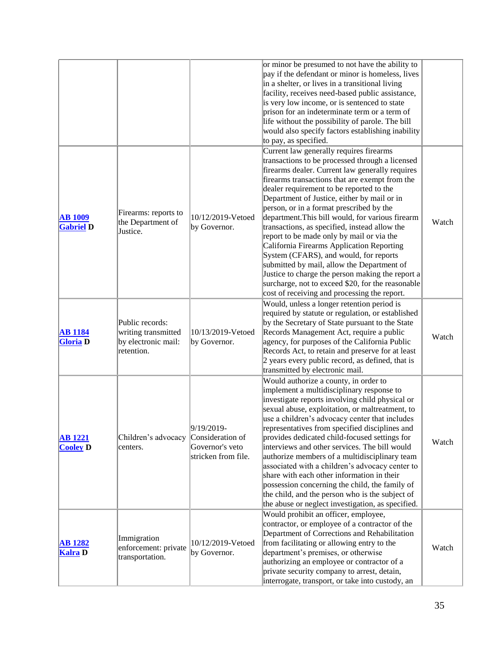|                                    |                                                                             |                                                                          | or minor be presumed to not have the ability to<br>pay if the defendant or minor is homeless, lives<br>in a shelter, or lives in a transitional living<br>facility, receives need-based public assistance,<br>is very low income, or is sentenced to state<br>prison for an indeterminate term or a term of<br>life without the possibility of parole. The bill<br>would also specify factors establishing inability<br>to pay, as specified.                                                                                                                                                                                                                                                                                                                                          |       |
|------------------------------------|-----------------------------------------------------------------------------|--------------------------------------------------------------------------|----------------------------------------------------------------------------------------------------------------------------------------------------------------------------------------------------------------------------------------------------------------------------------------------------------------------------------------------------------------------------------------------------------------------------------------------------------------------------------------------------------------------------------------------------------------------------------------------------------------------------------------------------------------------------------------------------------------------------------------------------------------------------------------|-------|
| <b>AB</b> 1009<br><b>Gabriel D</b> | Firearms: reports to<br>the Department of<br>Justice.                       | 10/12/2019-Vetoed<br>by Governor.                                        | Current law generally requires firearms<br>transactions to be processed through a licensed<br>firearms dealer. Current law generally requires<br>firearms transactions that are exempt from the<br>dealer requirement to be reported to the<br>Department of Justice, either by mail or in<br>person, or in a format prescribed by the<br>department. This bill would, for various firearm<br>transactions, as specified, instead allow the<br>report to be made only by mail or via the<br>California Firearms Application Reporting<br>System (CFARS), and would, for reports<br>submitted by mail, allow the Department of<br>Justice to charge the person making the report a<br>surcharge, not to exceed \$20, for the reasonable<br>cost of receiving and processing the report. | Watch |
| <b>AB</b> 1184<br><b>Gloria</b> D  | Public records:<br>writing transmitted<br>by electronic mail:<br>retention. | 10/13/2019-Vetoed<br>by Governor.                                        | Would, unless a longer retention period is<br>required by statute or regulation, or established<br>by the Secretary of State pursuant to the State<br>Records Management Act, require a public<br>agency, for purposes of the California Public<br>Records Act, to retain and preserve for at least<br>$\vert$ 2 years every public record, as defined, that is<br>transmitted by electronic mail.                                                                                                                                                                                                                                                                                                                                                                                     | Watch |
| <b>AB</b> 1221<br><b>Cooley D</b>  | Children's advocacy<br>centers.                                             | 9/19/2019-<br>Consideration of<br>Governor's veto<br>stricken from file. | Would authorize a county, in order to<br>implement a multidisciplinary response to<br>investigate reports involving child physical or<br>sexual abuse, exploitation, or maltreatment, to<br>use a children's advocacy center that includes<br>representatives from specified disciplines and<br>provides dedicated child-focused settings for<br>interviews and other services. The bill would<br>authorize members of a multidisciplinary team<br>associated with a children's advocacy center to<br>share with each other information in their<br>possession concerning the child, the family of<br>the child, and the person who is the subject of<br>the abuse or neglect investigation, as specified.                                                                             | Watch |
| <b>AB</b> 1282<br><b>Kalra</b> D   | Immigration<br>enforcement: private<br>transportation.                      | 10/12/2019-Vetoed<br>by Governor.                                        | Would prohibit an officer, employee,<br>contractor, or employee of a contractor of the<br>Department of Corrections and Rehabilitation<br>from facilitating or allowing entry to the<br>department's premises, or otherwise<br>authorizing an employee or contractor of a<br>private security company to arrest, detain,<br>interrogate, transport, or take into custody, an                                                                                                                                                                                                                                                                                                                                                                                                           | Watch |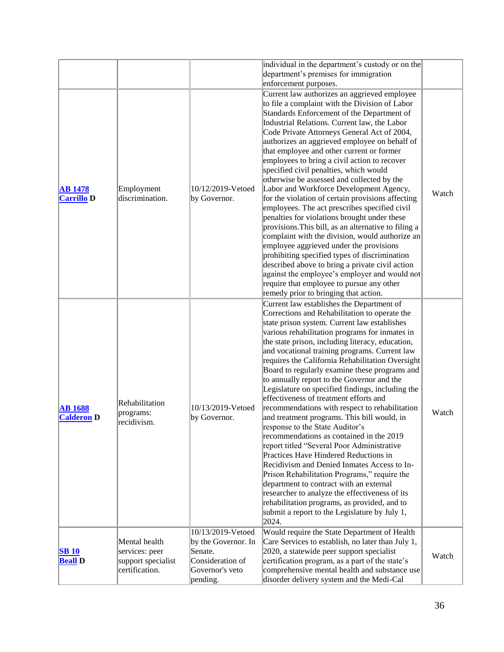|                                     |                                                                         |                                                                                                        | individual in the department's custody or on the                                                                                                                                                                                                                                                                                                                                                                                                                                                                                                                                                                                                                                                                                                                                                                                                                                                                                                                                                                                                                                                                                                                         |       |
|-------------------------------------|-------------------------------------------------------------------------|--------------------------------------------------------------------------------------------------------|--------------------------------------------------------------------------------------------------------------------------------------------------------------------------------------------------------------------------------------------------------------------------------------------------------------------------------------------------------------------------------------------------------------------------------------------------------------------------------------------------------------------------------------------------------------------------------------------------------------------------------------------------------------------------------------------------------------------------------------------------------------------------------------------------------------------------------------------------------------------------------------------------------------------------------------------------------------------------------------------------------------------------------------------------------------------------------------------------------------------------------------------------------------------------|-------|
|                                     |                                                                         |                                                                                                        | department's premises for immigration                                                                                                                                                                                                                                                                                                                                                                                                                                                                                                                                                                                                                                                                                                                                                                                                                                                                                                                                                                                                                                                                                                                                    |       |
|                                     |                                                                         |                                                                                                        | enforcement purposes.                                                                                                                                                                                                                                                                                                                                                                                                                                                                                                                                                                                                                                                                                                                                                                                                                                                                                                                                                                                                                                                                                                                                                    |       |
| <b>AB</b> 1478<br><b>Carrillo D</b> | Employment<br>discrimination.                                           | 10/12/2019-Vetoed<br>by Governor.                                                                      | Current law authorizes an aggrieved employee<br>to file a complaint with the Division of Labor<br>Standards Enforcement of the Department of<br>Industrial Relations. Current law, the Labor<br>Code Private Attorneys General Act of 2004,<br>authorizes an aggrieved employee on behalf of<br>that employee and other current or former<br>employees to bring a civil action to recover<br>specified civil penalties, which would<br>otherwise be assessed and collected by the<br>Labor and Workforce Development Agency,<br>for the violation of certain provisions affecting<br>employees. The act prescribes specified civil<br>penalties for violations brought under these<br>provisions. This bill, as an alternative to filing a<br>complaint with the division, would authorize an<br>employee aggrieved under the provisions<br>prohibiting specified types of discrimination<br>described above to bring a private civil action<br>against the employee's employer and would not<br>require that employee to pursue any other                                                                                                                               | Watch |
| <b>AB</b> 1688<br><b>Calderon D</b> | Rehabilitation<br>programs:<br>recidivism.                              | 10/13/2019-Vetoed<br>by Governor.                                                                      | remedy prior to bringing that action.<br>Current law establishes the Department of<br>Corrections and Rehabilitation to operate the<br>state prison system. Current law establishes<br>various rehabilitation programs for inmates in<br>the state prison, including literacy, education,<br>and vocational training programs. Current law<br>requires the California Rehabilitation Oversight<br>Board to regularly examine these programs and<br>to annually report to the Governor and the<br>Legislature on specified findings, including the<br>effectiveness of treatment efforts and<br>recommendations with respect to rehabilitation<br>and treatment programs. This bill would, in<br>response to the State Auditor's<br>recommendations as contained in the 2019<br>report titled "Several Poor Administrative<br>Practices Have Hindered Reductions in<br>Recidivism and Denied Inmates Access to In-<br>Prison Rehabilitation Programs," require the<br>department to contract with an external<br>researcher to analyze the effectiveness of its<br>rehabilitation programs, as provided, and to<br>submit a report to the Legislature by July 1,<br>2024. | Watch |
| <b>SB 10</b><br><b>Beall D</b>      | Mental health<br>services: peer<br>support specialist<br>certification. | 10/13/2019-Vetoed<br>by the Governor. In<br>Senate.<br>Consideration of<br>Governor's veto<br>pending. | Would require the State Department of Health<br>Care Services to establish, no later than July 1,<br>2020, a statewide peer support specialist<br>certification program, as a part of the state's<br>comprehensive mental health and substance use<br>disorder delivery system and the Medi-Cal                                                                                                                                                                                                                                                                                                                                                                                                                                                                                                                                                                                                                                                                                                                                                                                                                                                                          | Watch |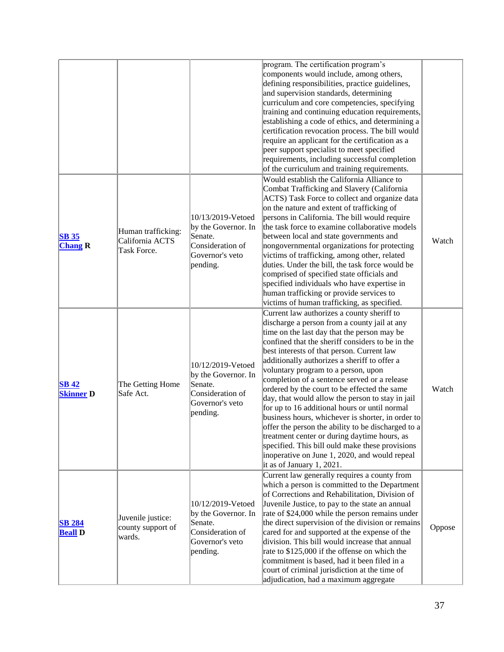|                                  |                                                      |                                                                                                        | program. The certification program's<br>components would include, among others,<br>defining responsibilities, practice guidelines,<br>and supervision standards, determining<br>curriculum and core competencies, specifying<br>training and continuing education requirements,<br>establishing a code of ethics, and determining a<br>certification revocation process. The bill would<br>require an applicant for the certification as a<br>peer support specialist to meet specified<br>requirements, including successful completion<br>of the curriculum and training requirements.                                                                                                                                                                                                                                            |        |
|----------------------------------|------------------------------------------------------|--------------------------------------------------------------------------------------------------------|-------------------------------------------------------------------------------------------------------------------------------------------------------------------------------------------------------------------------------------------------------------------------------------------------------------------------------------------------------------------------------------------------------------------------------------------------------------------------------------------------------------------------------------------------------------------------------------------------------------------------------------------------------------------------------------------------------------------------------------------------------------------------------------------------------------------------------------|--------|
| <b>SB 35</b><br><b>Chang R</b>   | Human trafficking:<br>California ACTS<br>Task Force. | 10/13/2019-Vetoed<br>by the Governor. In<br>Senate.<br>Consideration of<br>Governor's veto<br>pending. | Would establish the California Alliance to<br>Combat Trafficking and Slavery (California<br>ACTS) Task Force to collect and organize data<br>on the nature and extent of trafficking of<br>persons in California. The bill would require<br>the task force to examine collaborative models<br>between local and state governments and<br>nongovernmental organizations for protecting<br>victims of trafficking, among other, related<br>duties. Under the bill, the task force would be<br>comprised of specified state officials and<br>specified individuals who have expertise in<br>human trafficking or provide services to<br>victims of human trafficking, as specified.                                                                                                                                                    | Watch  |
| <b>SB 42</b><br><b>Skinner D</b> | The Getting Home<br>Safe Act.                        | 10/12/2019-Vetoed<br>by the Governor. In<br>Senate.<br>Consideration of<br>Governor's veto<br>pending. | Current law authorizes a county sheriff to<br>discharge a person from a county jail at any<br>time on the last day that the person may be<br>confined that the sheriff considers to be in the<br>best interests of that person. Current law<br>additionally authorizes a sheriff to offer a<br>voluntary program to a person, upon<br>completion of a sentence served or a release<br>ordered by the court to be effected the same<br>day, that would allow the person to stay in jail<br>for up to 16 additional hours or until normal<br>business hours, whichever is shorter, in order to<br>offer the person the ability to be discharged to a<br>treatment center or during daytime hours, as<br>specified. This bill ould make these provisions<br>inoperative on June 1, 2020, and would repeal<br>it as of January 1, 2021. | Watch  |
| <b>SB 284</b><br><b>Beall D</b>  | Juvenile justice:<br>county support of<br>wards.     | 10/12/2019-Vetoed<br>by the Governor. In<br>Senate.<br>Consideration of<br>Governor's veto<br>pending. | Current law generally requires a county from<br>which a person is committed to the Department<br>of Corrections and Rehabilitation, Division of<br>Juvenile Justice, to pay to the state an annual<br>rate of \$24,000 while the person remains under<br>the direct supervision of the division or remains<br>cared for and supported at the expense of the<br>division. This bill would increase that annual<br>rate to \$125,000 if the offense on which the<br>commitment is based, had it been filed in a<br>court of criminal jurisdiction at the time of<br>adjudication, had a maximum aggregate                                                                                                                                                                                                                             | Oppose |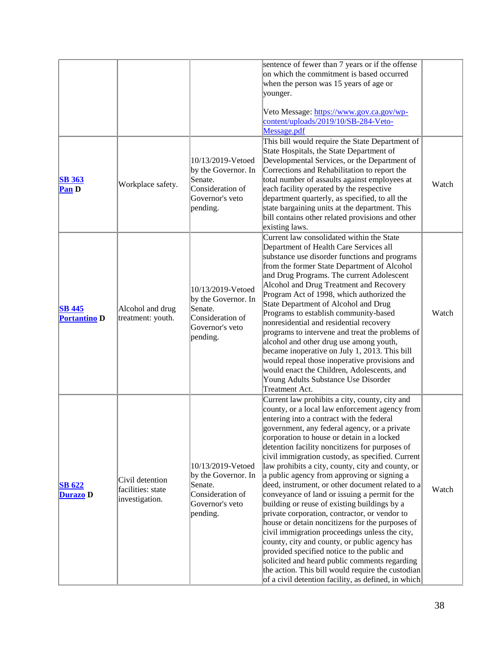|                                      |                                                        |                                                                                                        | sentence of fewer than 7 years or if the offense<br>on which the commitment is based occurred<br>when the person was 15 years of age or<br>younger.<br>Veto Message: https://www.gov.ca.gov/wp-                                                                                                                                                                                                                                                                                                                                                                                                                                                                                                                                                                                                                                                                                                                                                                                                                                |       |
|--------------------------------------|--------------------------------------------------------|--------------------------------------------------------------------------------------------------------|--------------------------------------------------------------------------------------------------------------------------------------------------------------------------------------------------------------------------------------------------------------------------------------------------------------------------------------------------------------------------------------------------------------------------------------------------------------------------------------------------------------------------------------------------------------------------------------------------------------------------------------------------------------------------------------------------------------------------------------------------------------------------------------------------------------------------------------------------------------------------------------------------------------------------------------------------------------------------------------------------------------------------------|-------|
|                                      |                                                        |                                                                                                        | content/uploads/2019/10/SB-284-Veto-<br>Message.pdf                                                                                                                                                                                                                                                                                                                                                                                                                                                                                                                                                                                                                                                                                                                                                                                                                                                                                                                                                                            |       |
| <b>SB 363</b><br><b>Pan D</b>        | Workplace safety.                                      | 10/13/2019-Vetoed<br>by the Governor. In<br>Senate.<br>Consideration of<br>Governor's veto<br>pending. | This bill would require the State Department of<br>State Hospitals, the State Department of<br>Developmental Services, or the Department of<br>Corrections and Rehabilitation to report the<br>total number of assaults against employees at<br>each facility operated by the respective<br>department quarterly, as specified, to all the<br>state bargaining units at the department. This<br>bill contains other related provisions and other<br>existing laws.                                                                                                                                                                                                                                                                                                                                                                                                                                                                                                                                                             | Watch |
| <b>SB 445</b><br><b>Portantino D</b> | Alcohol and drug<br>treatment: youth.                  | 10/13/2019-Vetoed<br>by the Governor. In<br>Senate.<br>Consideration of<br>Governor's veto<br>pending. | Current law consolidated within the State<br>Department of Health Care Services all<br>substance use disorder functions and programs<br>from the former State Department of Alcohol<br>and Drug Programs. The current Adolescent<br>Alcohol and Drug Treatment and Recovery<br>Program Act of 1998, which authorized the<br>State Department of Alcohol and Drug<br>Programs to establish community-based<br>nonresidential and residential recovery<br>programs to intervene and treat the problems of<br>alcohol and other drug use among youth,<br>became inoperative on July 1, 2013. This bill<br>would repeal those inoperative provisions and<br>would enact the Children, Adolescents, and<br>Young Adults Substance Use Disorder<br>Treatment Act.                                                                                                                                                                                                                                                                    | Watch |
| <b>SB 622</b><br>Durazo D            | Civil detention<br>facilities: state<br>investigation. | 10/13/2019-Vetoed<br>by the Governor. In<br>Senate.<br>Consideration of<br>Governor's veto<br>pending. | Current law prohibits a city, county, city and<br>county, or a local law enforcement agency from<br>entering into a contract with the federal<br>government, any federal agency, or a private<br>corporation to house or detain in a locked<br>detention facility noncitizens for purposes of<br>civil immigration custody, as specified. Current<br>law prohibits a city, county, city and county, or<br>a public agency from approving or signing a<br>deed, instrument, or other document related to a<br>conveyance of land or issuing a permit for the<br>building or reuse of existing buildings by a<br>private corporation, contractor, or vendor to<br>house or detain noncitizens for the purposes of<br>civil immigration proceedings unless the city,<br>county, city and county, or public agency has<br>provided specified notice to the public and<br>solicited and heard public comments regarding<br>the action. This bill would require the custodian<br>of a civil detention facility, as defined, in which | Watch |